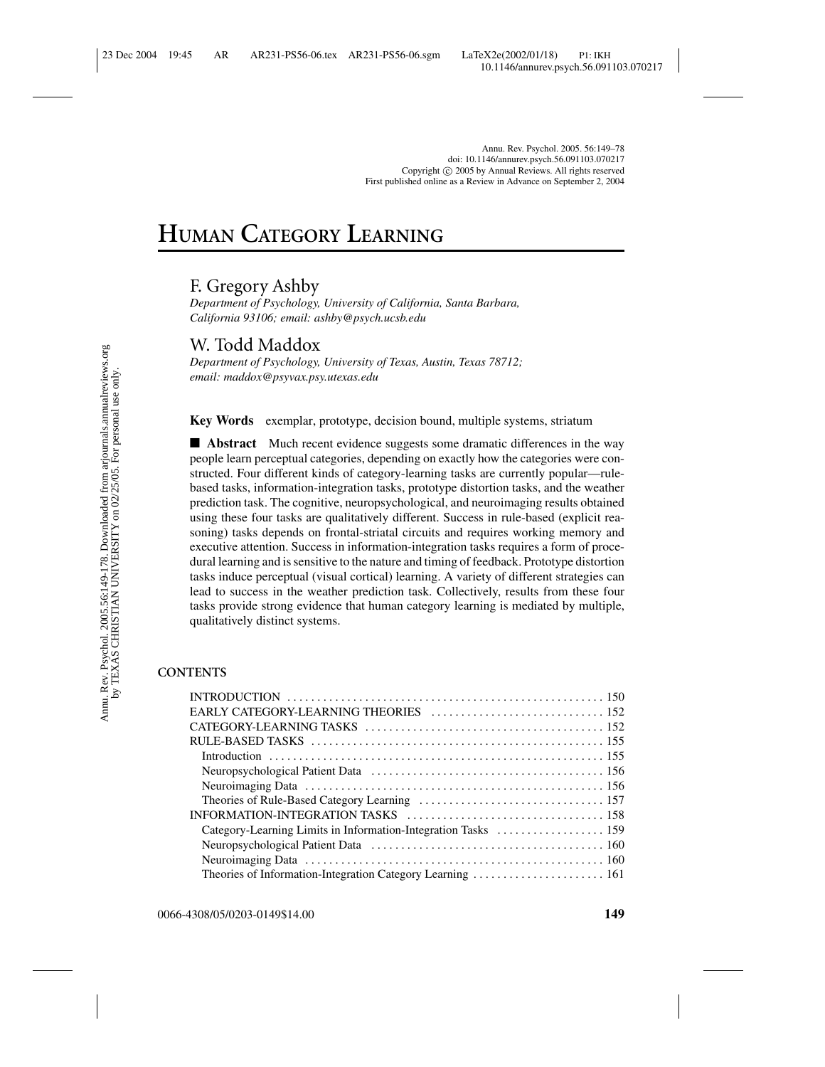## **HUMAN CATEGORY LEARNING**

## F. Gregory Ashby

*Department of Psychology, University of California, Santa Barbara, California 93106; email: ashby@psych.ucsb.edu*

W. Todd Maddox

*Department of Psychology, University of Texas, Austin, Texas 78712; email: maddox@psyvax.psy.utexas.edu*

**Key Words** exemplar, prototype, decision bound, multiple systems, striatum

■ **Abstract** Much recent evidence suggests some dramatic differences in the way people learn perceptual categories, depending on exactly how the categories were constructed. Four different kinds of category-learning tasks are currently popular—rulebased tasks, information-integration tasks, prototype distortion tasks, and the weather prediction task. The cognitive, neuropsychological, and neuroimaging results obtained using these four tasks are qualitatively different. Success in rule-based (explicit reasoning) tasks depends on frontal-striatal circuits and requires working memory and executive attention. Success in information-integration tasks requires a form of procedural learning and is sensitive to the nature and timing of feedback. Prototype distortion tasks induce perceptual (visual cortical) learning. A variety of different strategies can lead to success in the weather prediction task. Collectively, results from these four tasks provide strong evidence that human category learning is mediated by multiple, qualitatively distinct systems.

#### **CONTENTS**

| Category-Learning Limits in Information-Integration Tasks  159 |  |
|----------------------------------------------------------------|--|
|                                                                |  |
|                                                                |  |
| Theories of Information-Integration Category Learning  161     |  |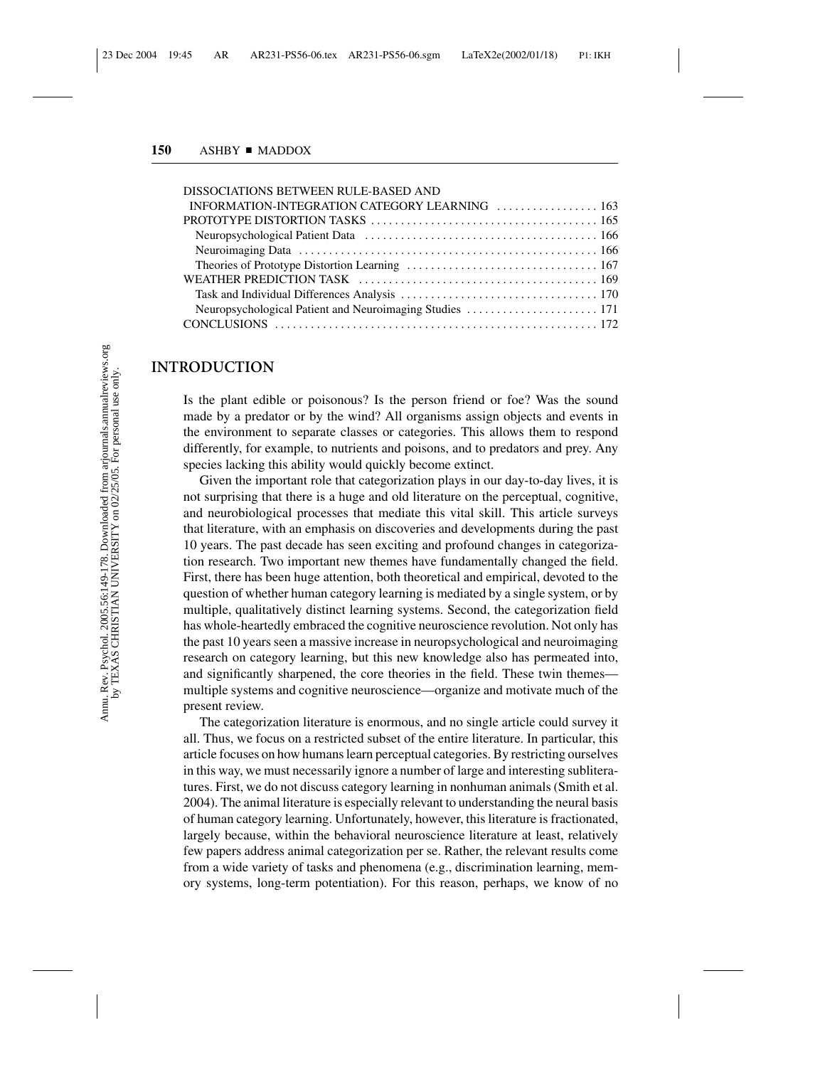| DISSOCIATIONS BETWEEN RULE-BASED AND           |
|------------------------------------------------|
| INFORMATION-INTEGRATION CATEGORY LEARNING  163 |
|                                                |
|                                                |
|                                                |
|                                                |
|                                                |
|                                                |
|                                                |
|                                                |

#### **INTRODUCTION**

Is the plant edible or poisonous? Is the person friend or foe? Was the sound made by a predator or by the wind? All organisms assign objects and events in the environment to separate classes or categories. This allows them to respond differently, for example, to nutrients and poisons, and to predators and prey. Any species lacking this ability would quickly become extinct.

Given the important role that categorization plays in our day-to-day lives, it is not surprising that there is a huge and old literature on the perceptual, cognitive, and neurobiological processes that mediate this vital skill. This article surveys that literature, with an emphasis on discoveries and developments during the past 10 years. The past decade has seen exciting and profound changes in categorization research. Two important new themes have fundamentally changed the field. First, there has been huge attention, both theoretical and empirical, devoted to the question of whether human category learning is mediated by a single system, or by multiple, qualitatively distinct learning systems. Second, the categorization field has whole-heartedly embraced the cognitive neuroscience revolution. Not only has the past 10 years seen a massive increase in neuropsychological and neuroimaging research on category learning, but this new knowledge also has permeated into, and significantly sharpened, the core theories in the field. These twin themes multiple systems and cognitive neuroscience—organize and motivate much of the present review.

The categorization literature is enormous, and no single article could survey it all. Thus, we focus on a restricted subset of the entire literature. In particular, this article focuses on how humans learn perceptual categories. By restricting ourselves in this way, we must necessarily ignore a number of large and interesting subliteratures. First, we do not discuss category learning in nonhuman animals (Smith et al. 2004). The animal literature is especially relevant to understanding the neural basis of human category learning. Unfortunately, however, this literature is fractionated, largely because, within the behavioral neuroscience literature at least, relatively few papers address animal categorization per se. Rather, the relevant results come from a wide variety of tasks and phenomena (e.g., discrimination learning, memory systems, long-term potentiation). For this reason, perhaps, we know of no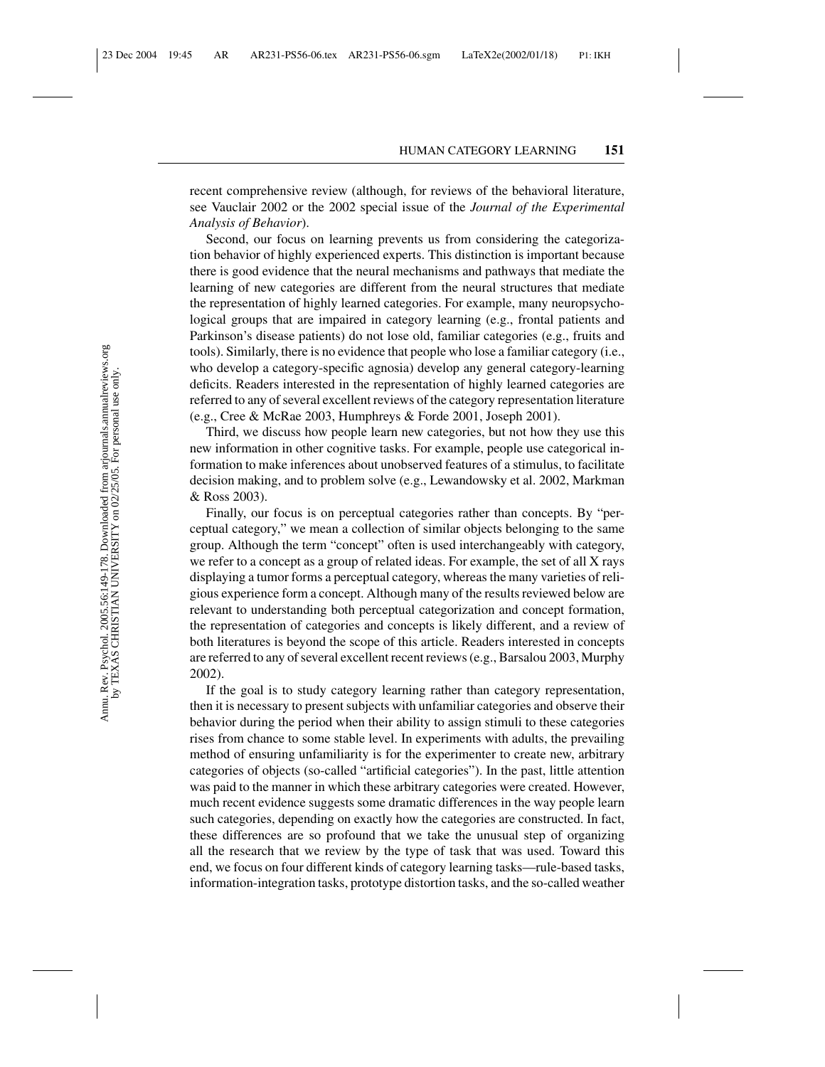recent comprehensive review (although, for reviews of the behavioral literature, see Vauclair 2002 or the 2002 special issue of the *Journal of the Experimental Analysis of Behavior*).

Second, our focus on learning prevents us from considering the categorization behavior of highly experienced experts. This distinction is important because there is good evidence that the neural mechanisms and pathways that mediate the learning of new categories are different from the neural structures that mediate the representation of highly learned categories. For example, many neuropsychological groups that are impaired in category learning (e.g., frontal patients and Parkinson's disease patients) do not lose old, familiar categories (e.g., fruits and tools). Similarly, there is no evidence that people who lose a familiar category (i.e., who develop a category-specific agnosia) develop any general category-learning deficits. Readers interested in the representation of highly learned categories are referred to any of several excellent reviews of the category representation literature (e.g., Cree & McRae 2003, Humphreys & Forde 2001, Joseph 2001).

Third, we discuss how people learn new categories, but not how they use this new information in other cognitive tasks. For example, people use categorical information to make inferences about unobserved features of a stimulus, to facilitate decision making, and to problem solve (e.g., Lewandowsky et al. 2002, Markman & Ross 2003).

Finally, our focus is on perceptual categories rather than concepts. By "perceptual category," we mean a collection of similar objects belonging to the same group. Although the term "concept" often is used interchangeably with category, we refer to a concept as a group of related ideas. For example, the set of all X rays displaying a tumor forms a perceptual category, whereas the many varieties of religious experience form a concept. Although many of the results reviewed below are relevant to understanding both perceptual categorization and concept formation, the representation of categories and concepts is likely different, and a review of both literatures is beyond the scope of this article. Readers interested in concepts are referred to any of several excellent recent reviews (e.g., Barsalou 2003, Murphy 2002).

If the goal is to study category learning rather than category representation, then it is necessary to present subjects with unfamiliar categories and observe their behavior during the period when their ability to assign stimuli to these categories rises from chance to some stable level. In experiments with adults, the prevailing method of ensuring unfamiliarity is for the experimenter to create new, arbitrary categories of objects (so-called "artificial categories"). In the past, little attention was paid to the manner in which these arbitrary categories were created. However, much recent evidence suggests some dramatic differences in the way people learn such categories, depending on exactly how the categories are constructed. In fact, these differences are so profound that we take the unusual step of organizing all the research that we review by the type of task that was used. Toward this end, we focus on four different kinds of category learning tasks—rule-based tasks, information-integration tasks, prototype distortion tasks, and the so-called weather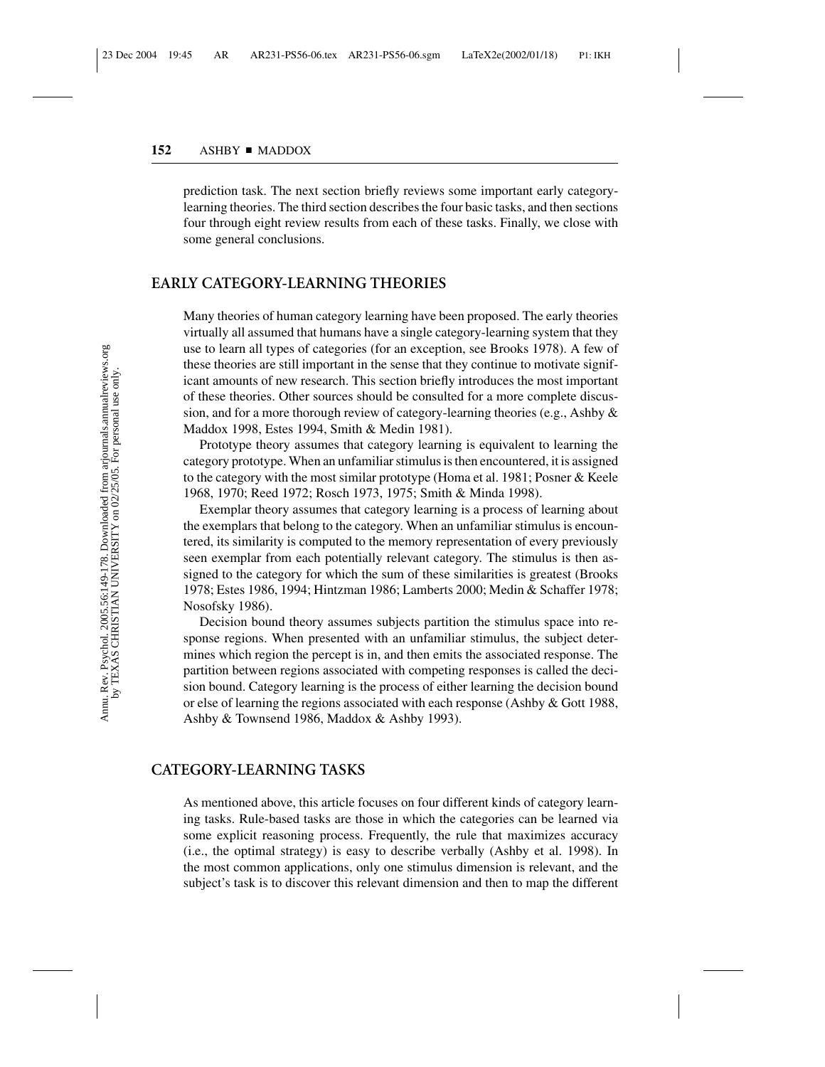prediction task. The next section briefly reviews some important early categorylearning theories. The third section describes the four basic tasks, and then sections four through eight review results from each of these tasks. Finally, we close with some general conclusions.

#### **EARLY CATEGORY-LEARNING THEORIES**

Many theories of human category learning have been proposed. The early theories virtually all assumed that humans have a single category-learning system that they use to learn all types of categories (for an exception, see Brooks 1978). A few of these theories are still important in the sense that they continue to motivate significant amounts of new research. This section briefly introduces the most important of these theories. Other sources should be consulted for a more complete discussion, and for a more thorough review of category-learning theories (e.g., Ashby & Maddox 1998, Estes 1994, Smith & Medin 1981).

Prototype theory assumes that category learning is equivalent to learning the category prototype. When an unfamiliar stimulus is then encountered, it is assigned to the category with the most similar prototype (Homa et al. 1981; Posner & Keele 1968, 1970; Reed 1972; Rosch 1973, 1975; Smith & Minda 1998).

Exemplar theory assumes that category learning is a process of learning about the exemplars that belong to the category. When an unfamiliar stimulus is encountered, its similarity is computed to the memory representation of every previously seen exemplar from each potentially relevant category. The stimulus is then assigned to the category for which the sum of these similarities is greatest (Brooks 1978; Estes 1986, 1994; Hintzman 1986; Lamberts 2000; Medin & Schaffer 1978; Nosofsky 1986).

Decision bound theory assumes subjects partition the stimulus space into response regions. When presented with an unfamiliar stimulus, the subject determines which region the percept is in, and then emits the associated response. The partition between regions associated with competing responses is called the decision bound. Category learning is the process of either learning the decision bound or else of learning the regions associated with each response (Ashby & Gott 1988, Ashby & Townsend 1986, Maddox & Ashby 1993).

#### **CATEGORY-LEARNING TASKS**

As mentioned above, this article focuses on four different kinds of category learning tasks. Rule-based tasks are those in which the categories can be learned via some explicit reasoning process. Frequently, the rule that maximizes accuracy (i.e., the optimal strategy) is easy to describe verbally (Ashby et al. 1998). In the most common applications, only one stimulus dimension is relevant, and the subject's task is to discover this relevant dimension and then to map the different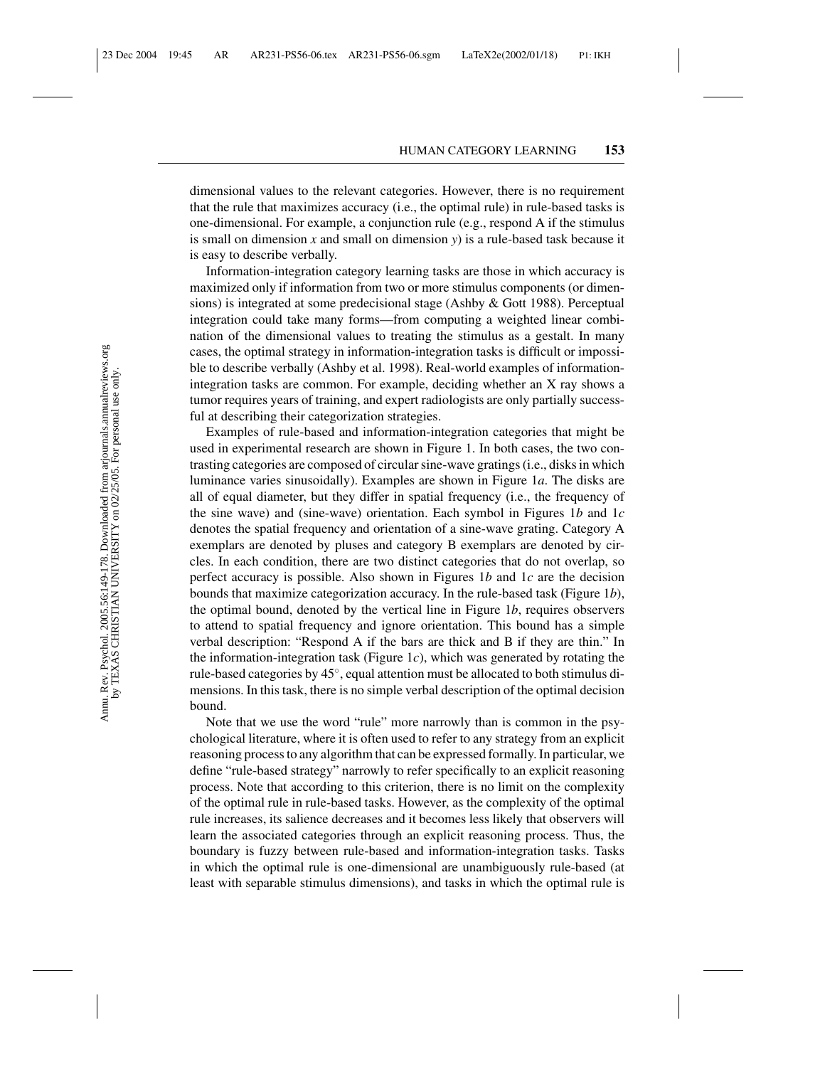dimensional values to the relevant categories. However, there is no requirement that the rule that maximizes accuracy (i.e., the optimal rule) in rule-based tasks is one-dimensional. For example, a conjunction rule (e.g., respond A if the stimulus is small on dimension *x* and small on dimension *y*) is a rule-based task because it is easy to describe verbally.

Information-integration category learning tasks are those in which accuracy is maximized only if information from two or more stimulus components (or dimensions) is integrated at some predecisional stage (Ashby & Gott 1988). Perceptual integration could take many forms—from computing a weighted linear combination of the dimensional values to treating the stimulus as a gestalt. In many cases, the optimal strategy in information-integration tasks is difficult or impossible to describe verbally (Ashby et al. 1998). Real-world examples of informationintegration tasks are common. For example, deciding whether an X ray shows a tumor requires years of training, and expert radiologists are only partially successful at describing their categorization strategies.

Examples of rule-based and information-integration categories that might be used in experimental research are shown in Figure 1. In both cases, the two contrasting categories are composed of circular sine-wave gratings (i.e., disks in which luminance varies sinusoidally). Examples are shown in Figure 1*a*. The disks are all of equal diameter, but they differ in spatial frequency (i.e., the frequency of the sine wave) and (sine-wave) orientation. Each symbol in Figures 1*b* and 1*c* denotes the spatial frequency and orientation of a sine-wave grating. Category A exemplars are denoted by pluses and category B exemplars are denoted by circles. In each condition, there are two distinct categories that do not overlap, so perfect accuracy is possible. Also shown in Figures 1*b* and 1*c* are the decision bounds that maximize categorization accuracy. In the rule-based task (Figure 1*b*), the optimal bound, denoted by the vertical line in Figure 1*b*, requires observers to attend to spatial frequency and ignore orientation. This bound has a simple verbal description: "Respond A if the bars are thick and B if they are thin." In the information-integration task (Figure 1 $c$ ), which was generated by rotating the rule-based categories by 45◦, equal attention must be allocated to both stimulus dimensions. In this task, there is no simple verbal description of the optimal decision bound.

Note that we use the word "rule" more narrowly than is common in the psychological literature, where it is often used to refer to any strategy from an explicit reasoning process to any algorithm that can be expressed formally. In particular, we define "rule-based strategy" narrowly to refer specifically to an explicit reasoning process. Note that according to this criterion, there is no limit on the complexity of the optimal rule in rule-based tasks. However, as the complexity of the optimal rule increases, its salience decreases and it becomes less likely that observers will learn the associated categories through an explicit reasoning process. Thus, the boundary is fuzzy between rule-based and information-integration tasks. Tasks in which the optimal rule is one-dimensional are unambiguously rule-based (at least with separable stimulus dimensions), and tasks in which the optimal rule is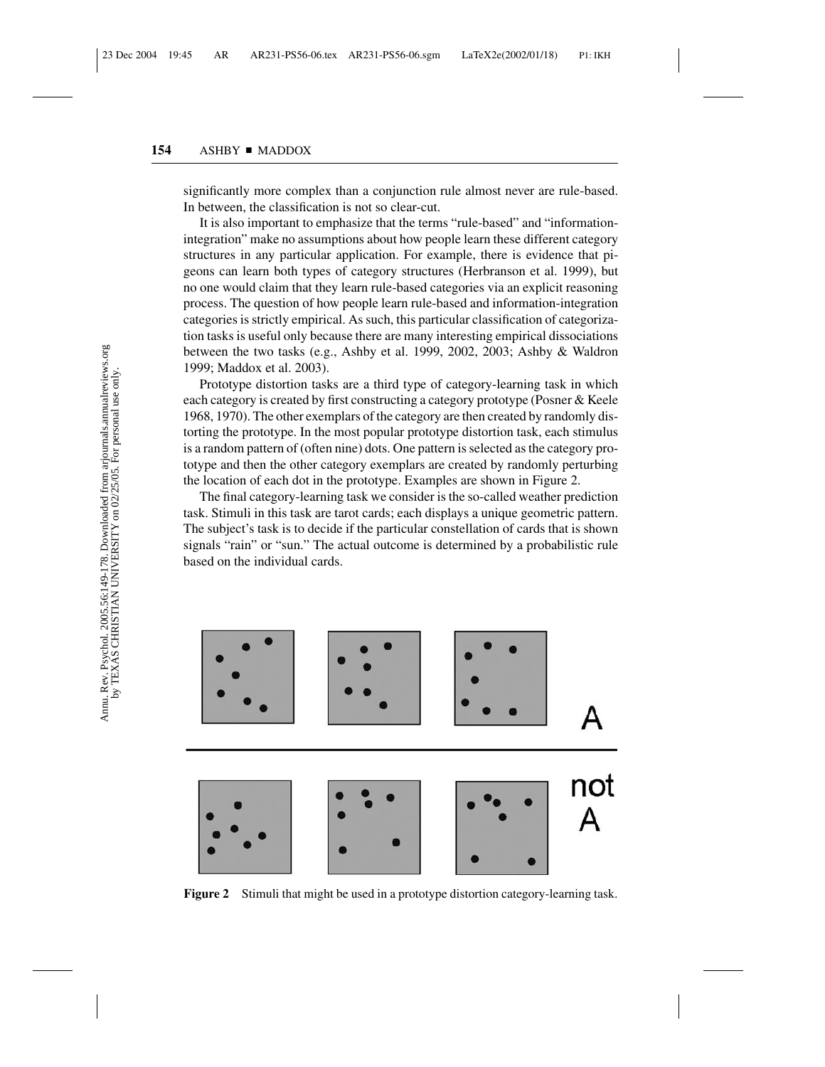significantly more complex than a conjunction rule almost never are rule-based. In between, the classification is not so clear-cut.

It is also important to emphasize that the terms "rule-based" and "informationintegration" make no assumptions about how people learn these different category structures in any particular application. For example, there is evidence that pigeons can learn both types of category structures (Herbranson et al. 1999), but no one would claim that they learn rule-based categories via an explicit reasoning process. The question of how people learn rule-based and information-integration categories is strictly empirical. As such, this particular classification of categorization tasks is useful only because there are many interesting empirical dissociations between the two tasks (e.g., Ashby et al. 1999, 2002, 2003; Ashby & Waldron 1999; Maddox et al. 2003).

Prototype distortion tasks are a third type of category-learning task in which each category is created by first constructing a category prototype (Posner & Keele 1968, 1970). The other exemplars of the category are then created by randomly distorting the prototype. In the most popular prototype distortion task, each stimulus is a random pattern of (often nine) dots. One pattern is selected as the category prototype and then the other category exemplars are created by randomly perturbing the location of each dot in the prototype. Examples are shown in Figure 2.

The final category-learning task we consider is the so-called weather prediction task. Stimuli in this task are tarot cards; each displays a unique geometric pattern. The subject's task is to decide if the particular constellation of cards that is shown signals "rain" or "sun." The actual outcome is determined by a probabilistic rule based on the individual cards.



**Figure 2** Stimuli that might be used in a prototype distortion category-learning task.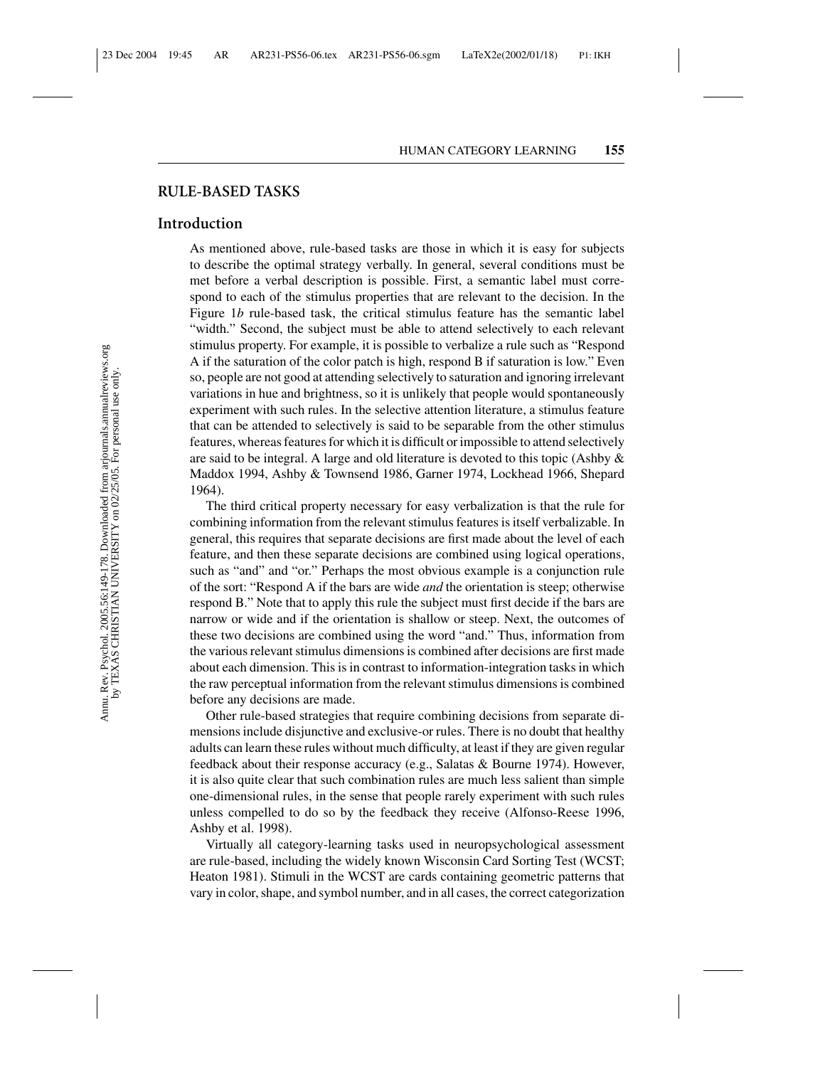#### **RULE-BASED TASKS**

#### **Introduction**

As mentioned above, rule-based tasks are those in which it is easy for subjects to describe the optimal strategy verbally. In general, several conditions must be met before a verbal description is possible. First, a semantic label must correspond to each of the stimulus properties that are relevant to the decision. In the Figure 1*b* rule-based task, the critical stimulus feature has the semantic label "width." Second, the subject must be able to attend selectively to each relevant stimulus property. For example, it is possible to verbalize a rule such as "Respond A if the saturation of the color patch is high, respond B if saturation is low." Even so, people are not good at attending selectively to saturation and ignoring irrelevant variations in hue and brightness, so it is unlikely that people would spontaneously experiment with such rules. In the selective attention literature, a stimulus feature that can be attended to selectively is said to be separable from the other stimulus features, whereas features for which it is difficult or impossible to attend selectively are said to be integral. A large and old literature is devoted to this topic (Ashby & Maddox 1994, Ashby & Townsend 1986, Garner 1974, Lockhead 1966, Shepard 1964).

The third critical property necessary for easy verbalization is that the rule for combining information from the relevant stimulus features is itself verbalizable. In general, this requires that separate decisions are first made about the level of each feature, and then these separate decisions are combined using logical operations, such as "and" and "or." Perhaps the most obvious example is a conjunction rule of the sort: "Respond A if the bars are wide *and* the orientation is steep; otherwise respond B." Note that to apply this rule the subject must first decide if the bars are narrow or wide and if the orientation is shallow or steep. Next, the outcomes of these two decisions are combined using the word "and." Thus, information from the various relevant stimulus dimensions is combined after decisions are first made about each dimension. This is in contrast to information-integration tasks in which the raw perceptual information from the relevant stimulus dimensions is combined before any decisions are made.

Other rule-based strategies that require combining decisions from separate dimensions include disjunctive and exclusive-or rules. There is no doubt that healthy adults can learn these rules without much difficulty, at least if they are given regular feedback about their response accuracy (e.g., Salatas & Bourne 1974). However, it is also quite clear that such combination rules are much less salient than simple one-dimensional rules, in the sense that people rarely experiment with such rules unless compelled to do so by the feedback they receive (Alfonso-Reese 1996, Ashby et al. 1998).

Virtually all category-learning tasks used in neuropsychological assessment are rule-based, including the widely known Wisconsin Card Sorting Test (WCST; Heaton 1981). Stimuli in the WCST are cards containing geometric patterns that vary in color, shape, and symbol number, and in all cases, the correct categorization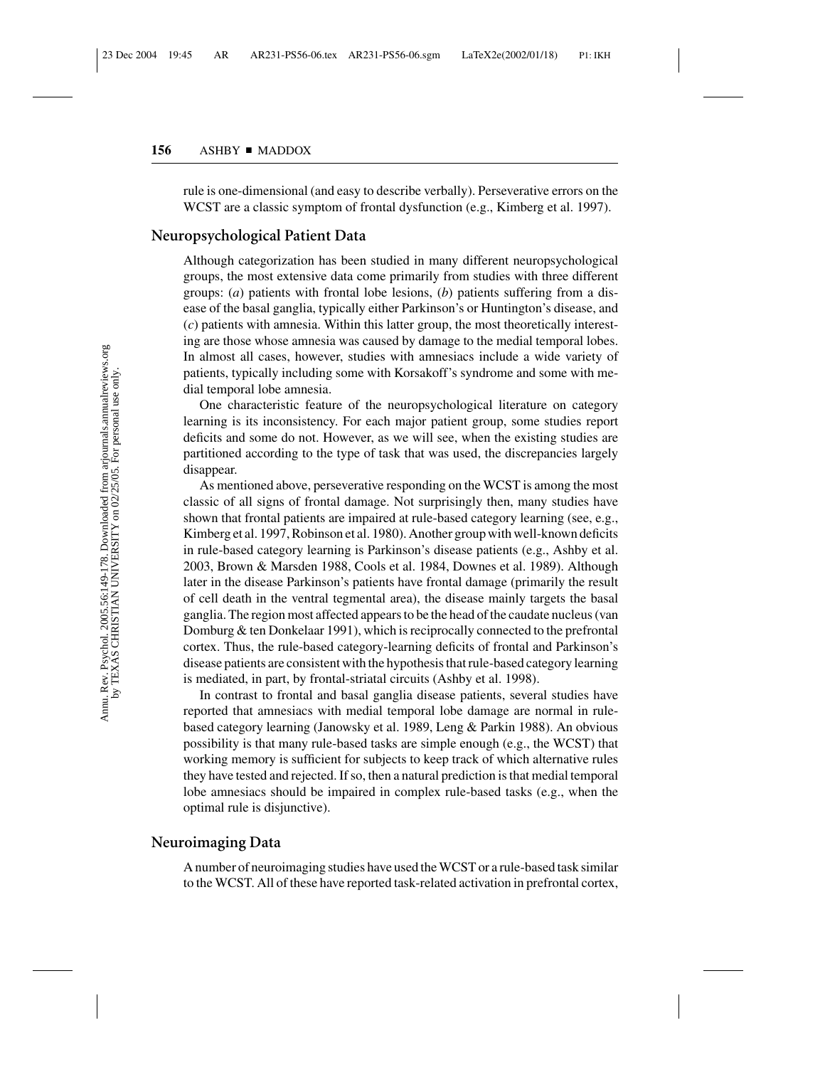rule is one-dimensional (and easy to describe verbally). Perseverative errors on the WCST are a classic symptom of frontal dysfunction (e.g., Kimberg et al. 1997).

#### **Neuropsychological Patient Data**

Although categorization has been studied in many different neuropsychological groups, the most extensive data come primarily from studies with three different groups: (*a*) patients with frontal lobe lesions, (*b*) patients suffering from a disease of the basal ganglia, typically either Parkinson's or Huntington's disease, and (*c*) patients with amnesia. Within this latter group, the most theoretically interesting are those whose amnesia was caused by damage to the medial temporal lobes. In almost all cases, however, studies with amnesiacs include a wide variety of patients, typically including some with Korsakoff's syndrome and some with medial temporal lobe amnesia.

One characteristic feature of the neuropsychological literature on category learning is its inconsistency. For each major patient group, some studies report deficits and some do not. However, as we will see, when the existing studies are partitioned according to the type of task that was used, the discrepancies largely disappear.

As mentioned above, perseverative responding on the WCST is among the most classic of all signs of frontal damage. Not surprisingly then, many studies have shown that frontal patients are impaired at rule-based category learning (see, e.g., Kimberg et al. 1997, Robinson et al. 1980). Another group with well-known deficits in rule-based category learning is Parkinson's disease patients (e.g., Ashby et al. 2003, Brown & Marsden 1988, Cools et al. 1984, Downes et al. 1989). Although later in the disease Parkinson's patients have frontal damage (primarily the result of cell death in the ventral tegmental area), the disease mainly targets the basal ganglia. The region most affected appears to be the head of the caudate nucleus (van Domburg & ten Donkelaar 1991), which is reciprocally connected to the prefrontal cortex. Thus, the rule-based category-learning deficits of frontal and Parkinson's disease patients are consistent with the hypothesis that rule-based category learning is mediated, in part, by frontal-striatal circuits (Ashby et al. 1998).

In contrast to frontal and basal ganglia disease patients, several studies have reported that amnesiacs with medial temporal lobe damage are normal in rulebased category learning (Janowsky et al. 1989, Leng & Parkin 1988). An obvious possibility is that many rule-based tasks are simple enough (e.g., the WCST) that working memory is sufficient for subjects to keep track of which alternative rules they have tested and rejected. If so, then a natural prediction is that medial temporal lobe amnesiacs should be impaired in complex rule-based tasks (e.g., when the optimal rule is disjunctive).

#### **Neuroimaging Data**

A number of neuroimaging studies have used the WCST or a rule-based task similar to the WCST. All of these have reported task-related activation in prefrontal cortex,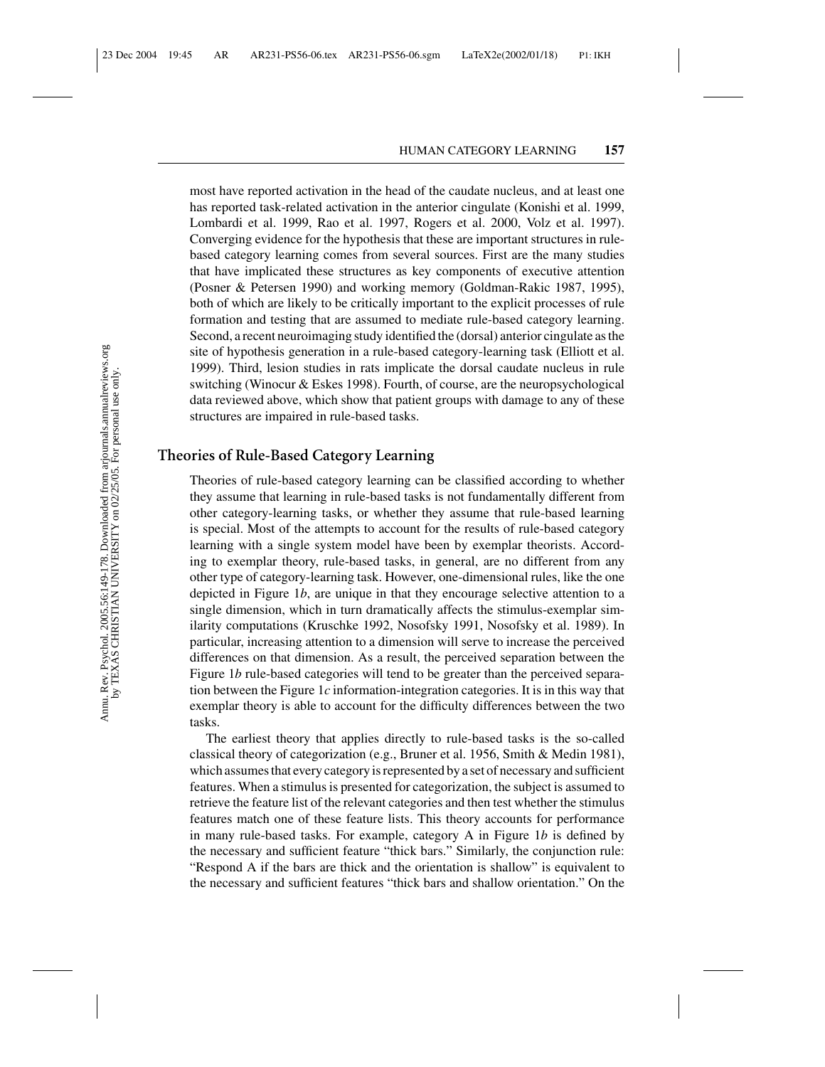most have reported activation in the head of the caudate nucleus, and at least one has reported task-related activation in the anterior cingulate (Konishi et al. 1999, Lombardi et al. 1999, Rao et al. 1997, Rogers et al. 2000, Volz et al. 1997). Converging evidence for the hypothesis that these are important structures in rulebased category learning comes from several sources. First are the many studies that have implicated these structures as key components of executive attention (Posner & Petersen 1990) and working memory (Goldman-Rakic 1987, 1995), both of which are likely to be critically important to the explicit processes of rule formation and testing that are assumed to mediate rule-based category learning. Second, a recent neuroimaging study identified the (dorsal) anterior cingulate as the site of hypothesis generation in a rule-based category-learning task (Elliott et al. 1999). Third, lesion studies in rats implicate the dorsal caudate nucleus in rule switching (Winocur & Eskes 1998). Fourth, of course, are the neuropsychological data reviewed above, which show that patient groups with damage to any of these structures are impaired in rule-based tasks.

#### **Theories of Rule-Based Category Learning**

Theories of rule-based category learning can be classified according to whether they assume that learning in rule-based tasks is not fundamentally different from other category-learning tasks, or whether they assume that rule-based learning is special. Most of the attempts to account for the results of rule-based category learning with a single system model have been by exemplar theorists. According to exemplar theory, rule-based tasks, in general, are no different from any other type of category-learning task. However, one-dimensional rules, like the one depicted in Figure 1*b*, are unique in that they encourage selective attention to a single dimension, which in turn dramatically affects the stimulus-exemplar similarity computations (Kruschke 1992, Nosofsky 1991, Nosofsky et al. 1989). In particular, increasing attention to a dimension will serve to increase the perceived differences on that dimension. As a result, the perceived separation between the Figure 1*b* rule-based categories will tend to be greater than the perceived separation between the Figure 1*c* information-integration categories. It is in this way that exemplar theory is able to account for the difficulty differences between the two tasks.

The earliest theory that applies directly to rule-based tasks is the so-called classical theory of categorization (e.g., Bruner et al. 1956, Smith & Medin 1981), which assumes that every category is represented by a set of necessary and sufficient features. When a stimulus is presented for categorization, the subject is assumed to retrieve the feature list of the relevant categories and then test whether the stimulus features match one of these feature lists. This theory accounts for performance in many rule-based tasks. For example, category A in Figure 1*b* is defined by the necessary and sufficient feature "thick bars." Similarly, the conjunction rule: "Respond A if the bars are thick and the orientation is shallow" is equivalent to the necessary and sufficient features "thick bars and shallow orientation." On the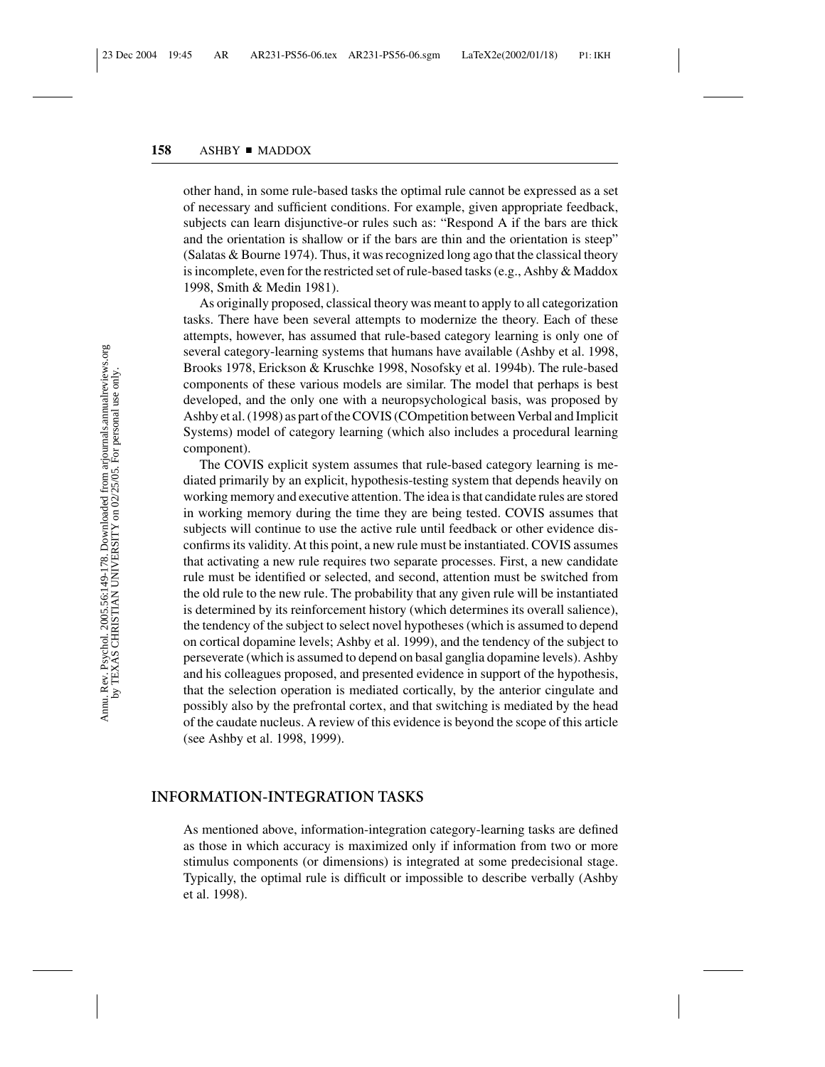other hand, in some rule-based tasks the optimal rule cannot be expressed as a set of necessary and sufficient conditions. For example, given appropriate feedback, subjects can learn disjunctive-or rules such as: "Respond A if the bars are thick and the orientation is shallow or if the bars are thin and the orientation is steep" (Salatas  $&$  Bourne 1974). Thus, it was recognized long ago that the classical theory is incomplete, even for the restricted set of rule-based tasks (e.g., Ashby & Maddox 1998, Smith & Medin 1981).

As originally proposed, classical theory was meant to apply to all categorization tasks. There have been several attempts to modernize the theory. Each of these attempts, however, has assumed that rule-based category learning is only one of several category-learning systems that humans have available (Ashby et al. 1998, Brooks 1978, Erickson & Kruschke 1998, Nosofsky et al. 1994b). The rule-based components of these various models are similar. The model that perhaps is best developed, and the only one with a neuropsychological basis, was proposed by Ashby et al. (1998) as part of the COVIS (COmpetition between Verbal and Implicit Systems) model of category learning (which also includes a procedural learning component).

The COVIS explicit system assumes that rule-based category learning is mediated primarily by an explicit, hypothesis-testing system that depends heavily on working memory and executive attention. The idea is that candidate rules are stored in working memory during the time they are being tested. COVIS assumes that subjects will continue to use the active rule until feedback or other evidence disconfirms its validity. At this point, a new rule must be instantiated. COVIS assumes that activating a new rule requires two separate processes. First, a new candidate rule must be identified or selected, and second, attention must be switched from the old rule to the new rule. The probability that any given rule will be instantiated is determined by its reinforcement history (which determines its overall salience), the tendency of the subject to select novel hypotheses (which is assumed to depend on cortical dopamine levels; Ashby et al. 1999), and the tendency of the subject to perseverate (which is assumed to depend on basal ganglia dopamine levels). Ashby and his colleagues proposed, and presented evidence in support of the hypothesis, that the selection operation is mediated cortically, by the anterior cingulate and possibly also by the prefrontal cortex, and that switching is mediated by the head of the caudate nucleus. A review of this evidence is beyond the scope of this article (see Ashby et al. 1998, 1999).

#### **INFORMATION-INTEGRATION TASKS**

As mentioned above, information-integration category-learning tasks are defined as those in which accuracy is maximized only if information from two or more stimulus components (or dimensions) is integrated at some predecisional stage. Typically, the optimal rule is difficult or impossible to describe verbally (Ashby et al. 1998).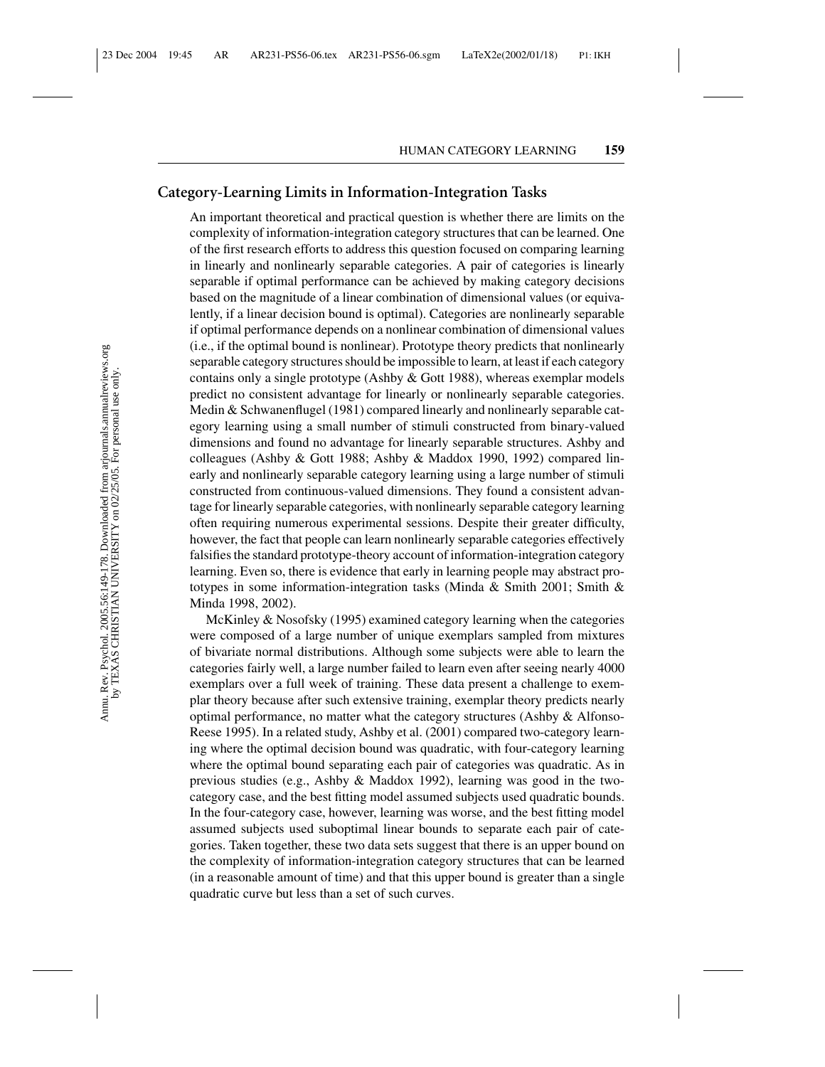## **Category-Learning Limits in Information-Integration Tasks**

An important theoretical and practical question is whether there are limits on the complexity of information-integration category structures that can be learned. One of the first research efforts to address this question focused on comparing learning in linearly and nonlinearly separable categories. A pair of categories is linearly separable if optimal performance can be achieved by making category decisions based on the magnitude of a linear combination of dimensional values (or equivalently, if a linear decision bound is optimal). Categories are nonlinearly separable if optimal performance depends on a nonlinear combination of dimensional values (i.e., if the optimal bound is nonlinear). Prototype theory predicts that nonlinearly separable category structures should be impossible to learn, at least if each category contains only a single prototype (Ashby & Gott 1988), whereas exemplar models predict no consistent advantage for linearly or nonlinearly separable categories. Medin & Schwanenflugel (1981) compared linearly and nonlinearly separable category learning using a small number of stimuli constructed from binary-valued dimensions and found no advantage for linearly separable structures. Ashby and colleagues (Ashby & Gott 1988; Ashby & Maddox 1990, 1992) compared linearly and nonlinearly separable category learning using a large number of stimuli constructed from continuous-valued dimensions. They found a consistent advantage for linearly separable categories, with nonlinearly separable category learning often requiring numerous experimental sessions. Despite their greater difficulty, however, the fact that people can learn nonlinearly separable categories effectively falsifies the standard prototype-theory account of information-integration category learning. Even so, there is evidence that early in learning people may abstract prototypes in some information-integration tasks (Minda & Smith 2001; Smith & Minda 1998, 2002).

McKinley & Nosofsky (1995) examined category learning when the categories were composed of a large number of unique exemplars sampled from mixtures of bivariate normal distributions. Although some subjects were able to learn the categories fairly well, a large number failed to learn even after seeing nearly 4000 exemplars over a full week of training. These data present a challenge to exemplar theory because after such extensive training, exemplar theory predicts nearly optimal performance, no matter what the category structures (Ashby & Alfonso-Reese 1995). In a related study, Ashby et al. (2001) compared two-category learning where the optimal decision bound was quadratic, with four-category learning where the optimal bound separating each pair of categories was quadratic. As in previous studies (e.g., Ashby & Maddox 1992), learning was good in the twocategory case, and the best fitting model assumed subjects used quadratic bounds. In the four-category case, however, learning was worse, and the best fitting model assumed subjects used suboptimal linear bounds to separate each pair of categories. Taken together, these two data sets suggest that there is an upper bound on the complexity of information-integration category structures that can be learned (in a reasonable amount of time) and that this upper bound is greater than a single quadratic curve but less than a set of such curves.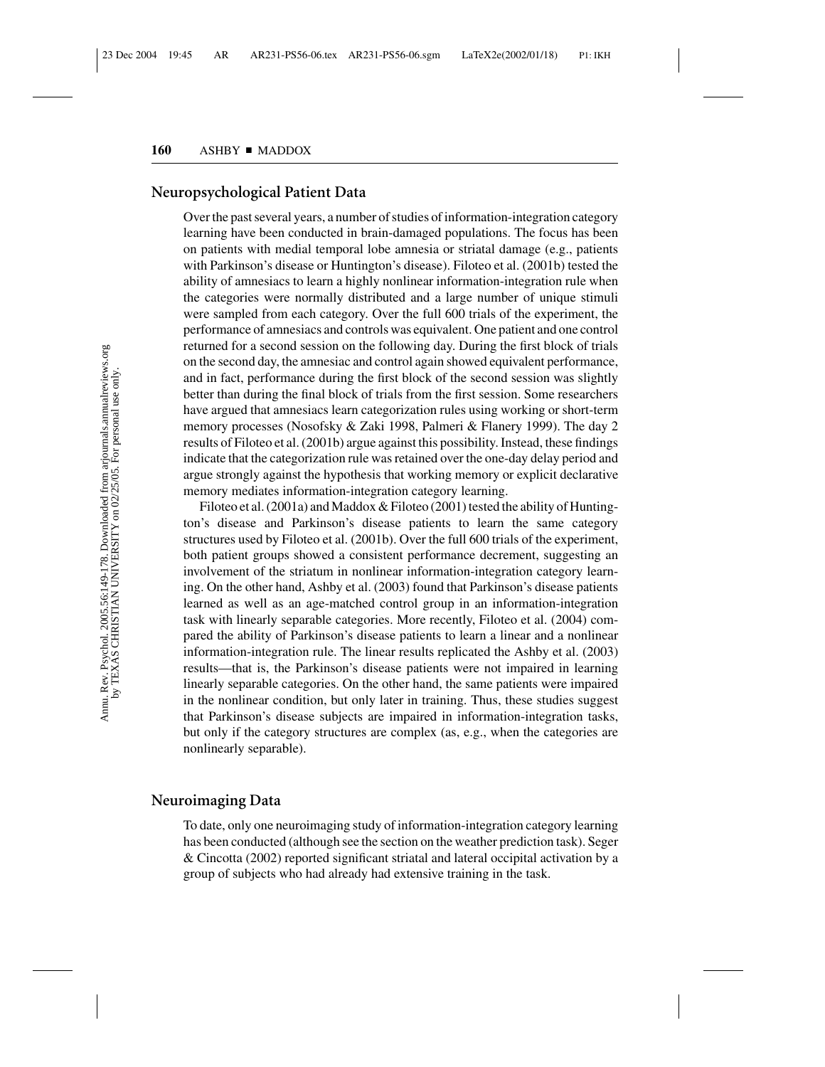## **Neuropsychological Patient Data**

Over the past several years, a number of studies of information-integration category learning have been conducted in brain-damaged populations. The focus has been on patients with medial temporal lobe amnesia or striatal damage (e.g., patients with Parkinson's disease or Huntington's disease). Filoteo et al. (2001b) tested the ability of amnesiacs to learn a highly nonlinear information-integration rule when the categories were normally distributed and a large number of unique stimuli were sampled from each category. Over the full 600 trials of the experiment, the performance of amnesiacs and controls was equivalent. One patient and one control returned for a second session on the following day. During the first block of trials on the second day, the amnesiac and control again showed equivalent performance, and in fact, performance during the first block of the second session was slightly better than during the final block of trials from the first session. Some researchers have argued that amnesiacs learn categorization rules using working or short-term memory processes (Nosofsky & Zaki 1998, Palmeri & Flanery 1999). The day 2 results of Filoteo et al. (2001b) argue against this possibility. Instead, these findings indicate that the categorization rule was retained over the one-day delay period and argue strongly against the hypothesis that working memory or explicit declarative memory mediates information-integration category learning.

Filoteo et al. (2001a) and Maddox & Filoteo (2001) tested the ability of Huntington's disease and Parkinson's disease patients to learn the same category structures used by Filoteo et al. (2001b). Over the full 600 trials of the experiment, both patient groups showed a consistent performance decrement, suggesting an involvement of the striatum in nonlinear information-integration category learning. On the other hand, Ashby et al. (2003) found that Parkinson's disease patients learned as well as an age-matched control group in an information-integration task with linearly separable categories. More recently, Filoteo et al. (2004) compared the ability of Parkinson's disease patients to learn a linear and a nonlinear information-integration rule. The linear results replicated the Ashby et al. (2003) results—that is, the Parkinson's disease patients were not impaired in learning linearly separable categories. On the other hand, the same patients were impaired in the nonlinear condition, but only later in training. Thus, these studies suggest that Parkinson's disease subjects are impaired in information-integration tasks, but only if the category structures are complex (as, e.g., when the categories are nonlinearly separable).

#### **Neuroimaging Data**

To date, only one neuroimaging study of information-integration category learning has been conducted (although see the section on the weather prediction task). Seger & Cincotta (2002) reported significant striatal and lateral occipital activation by a group of subjects who had already had extensive training in the task.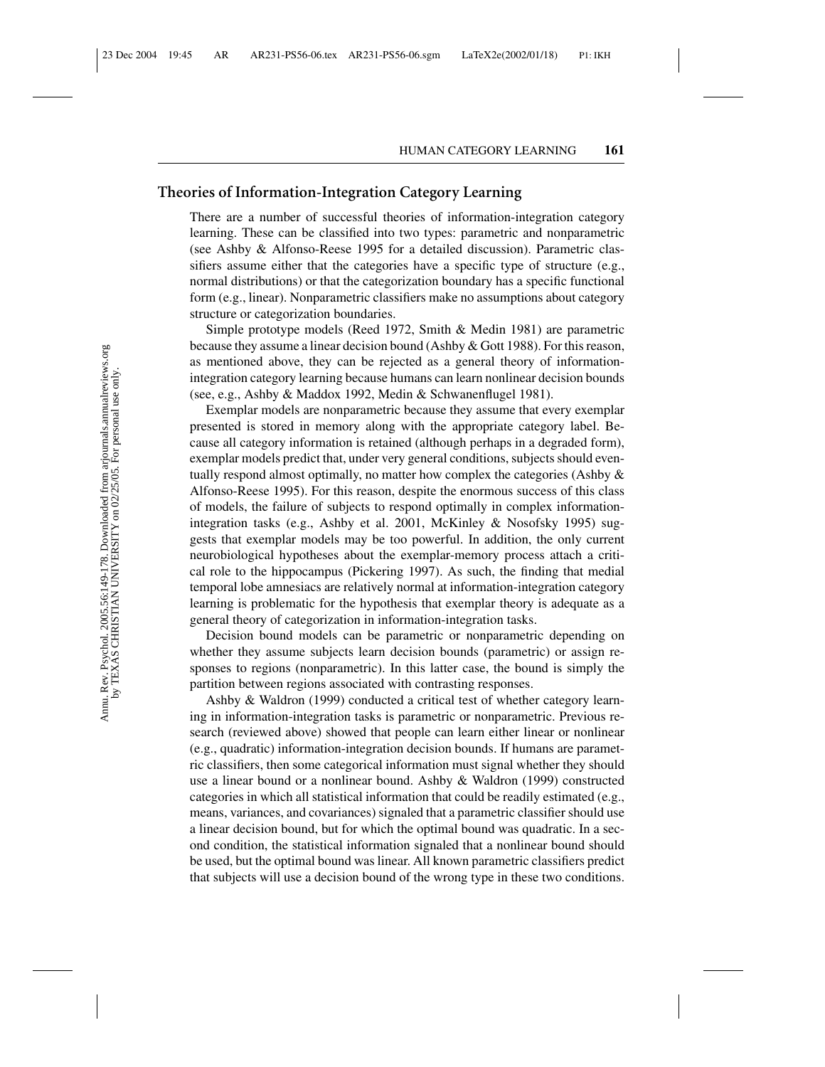## **Theories of Information-Integration Category Learning**

There are a number of successful theories of information-integration category learning. These can be classified into two types: parametric and nonparametric (see Ashby & Alfonso-Reese 1995 for a detailed discussion). Parametric classifiers assume either that the categories have a specific type of structure (e.g., normal distributions) or that the categorization boundary has a specific functional form (e.g., linear). Nonparametric classifiers make no assumptions about category structure or categorization boundaries.

Simple prototype models (Reed 1972, Smith & Medin 1981) are parametric because they assume a linear decision bound (Ashby & Gott 1988). For this reason, as mentioned above, they can be rejected as a general theory of informationintegration category learning because humans can learn nonlinear decision bounds (see, e.g., Ashby & Maddox 1992, Medin & Schwanenflugel 1981).

Exemplar models are nonparametric because they assume that every exemplar presented is stored in memory along with the appropriate category label. Because all category information is retained (although perhaps in a degraded form), exemplar models predict that, under very general conditions, subjects should eventually respond almost optimally, no matter how complex the categories (Ashby & Alfonso-Reese 1995). For this reason, despite the enormous success of this class of models, the failure of subjects to respond optimally in complex informationintegration tasks (e.g., Ashby et al. 2001, McKinley & Nosofsky 1995) suggests that exemplar models may be too powerful. In addition, the only current neurobiological hypotheses about the exemplar-memory process attach a critical role to the hippocampus (Pickering 1997). As such, the finding that medial temporal lobe amnesiacs are relatively normal at information-integration category learning is problematic for the hypothesis that exemplar theory is adequate as a general theory of categorization in information-integration tasks.

Decision bound models can be parametric or nonparametric depending on whether they assume subjects learn decision bounds (parametric) or assign responses to regions (nonparametric). In this latter case, the bound is simply the partition between regions associated with contrasting responses.

Ashby & Waldron (1999) conducted a critical test of whether category learning in information-integration tasks is parametric or nonparametric. Previous research (reviewed above) showed that people can learn either linear or nonlinear (e.g., quadratic) information-integration decision bounds. If humans are parametric classifiers, then some categorical information must signal whether they should use a linear bound or a nonlinear bound. Ashby & Waldron (1999) constructed categories in which all statistical information that could be readily estimated (e.g., means, variances, and covariances) signaled that a parametric classifier should use a linear decision bound, but for which the optimal bound was quadratic. In a second condition, the statistical information signaled that a nonlinear bound should be used, but the optimal bound was linear. All known parametric classifiers predict that subjects will use a decision bound of the wrong type in these two conditions.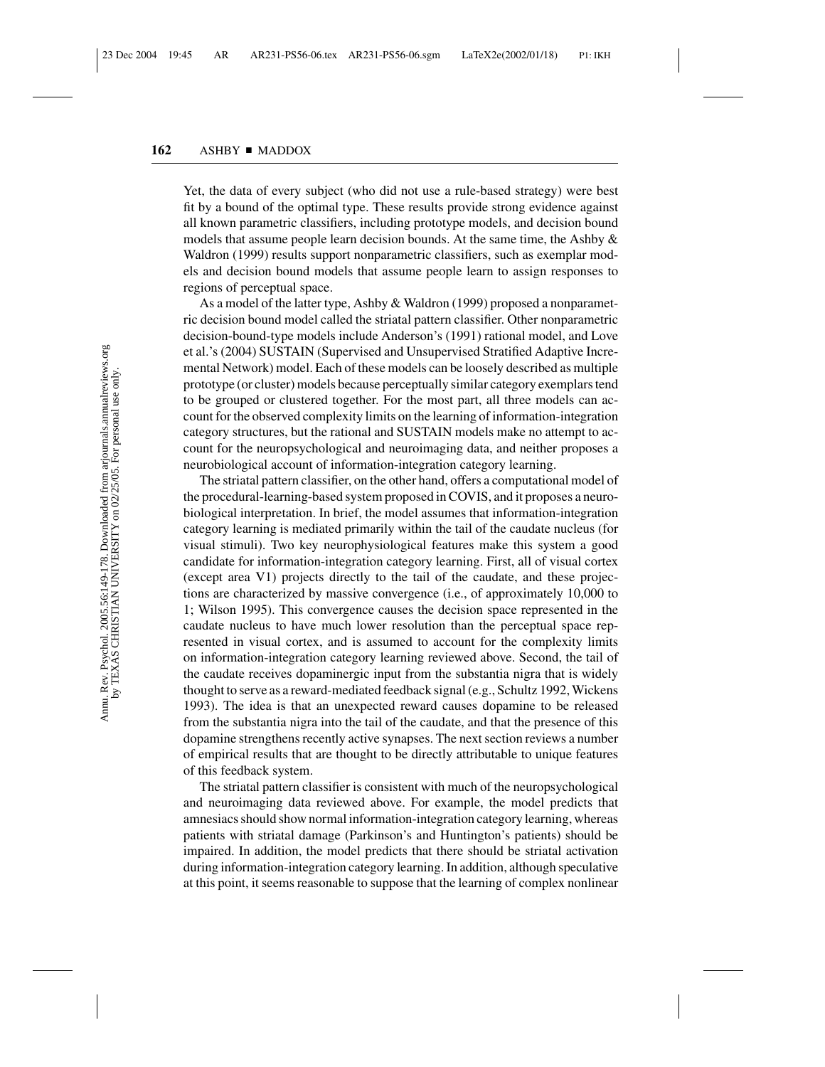Yet, the data of every subject (who did not use a rule-based strategy) were best fit by a bound of the optimal type. These results provide strong evidence against all known parametric classifiers, including prototype models, and decision bound models that assume people learn decision bounds. At the same time, the Ashby & Waldron (1999) results support nonparametric classifiers, such as exemplar models and decision bound models that assume people learn to assign responses to regions of perceptual space.

As a model of the latter type, Ashby & Waldron (1999) proposed a nonparametric decision bound model called the striatal pattern classifier. Other nonparametric decision-bound-type models include Anderson's (1991) rational model, and Love et al.'s (2004) SUSTAIN (Supervised and Unsupervised Stratified Adaptive Incremental Network) model. Each of these models can be loosely described as multiple prototype (or cluster) models because perceptually similar category exemplars tend to be grouped or clustered together. For the most part, all three models can account for the observed complexity limits on the learning of information-integration category structures, but the rational and SUSTAIN models make no attempt to account for the neuropsychological and neuroimaging data, and neither proposes a neurobiological account of information-integration category learning.

The striatal pattern classifier, on the other hand, offers a computational model of the procedural-learning-based system proposed in COVIS, and it proposes a neurobiological interpretation. In brief, the model assumes that information-integration category learning is mediated primarily within the tail of the caudate nucleus (for visual stimuli). Two key neurophysiological features make this system a good candidate for information-integration category learning. First, all of visual cortex (except area V1) projects directly to the tail of the caudate, and these projections are characterized by massive convergence (i.e., of approximately 10,000 to 1; Wilson 1995). This convergence causes the decision space represented in the caudate nucleus to have much lower resolution than the perceptual space represented in visual cortex, and is assumed to account for the complexity limits on information-integration category learning reviewed above. Second, the tail of the caudate receives dopaminergic input from the substantia nigra that is widely thought to serve as a reward-mediated feedback signal (e.g., Schultz 1992, Wickens 1993). The idea is that an unexpected reward causes dopamine to be released from the substantia nigra into the tail of the caudate, and that the presence of this dopamine strengthens recently active synapses. The next section reviews a number of empirical results that are thought to be directly attributable to unique features of this feedback system.

The striatal pattern classifier is consistent with much of the neuropsychological and neuroimaging data reviewed above. For example, the model predicts that amnesiacs should show normal information-integration category learning, whereas patients with striatal damage (Parkinson's and Huntington's patients) should be impaired. In addition, the model predicts that there should be striatal activation during information-integration category learning. In addition, although speculative at this point, it seems reasonable to suppose that the learning of complex nonlinear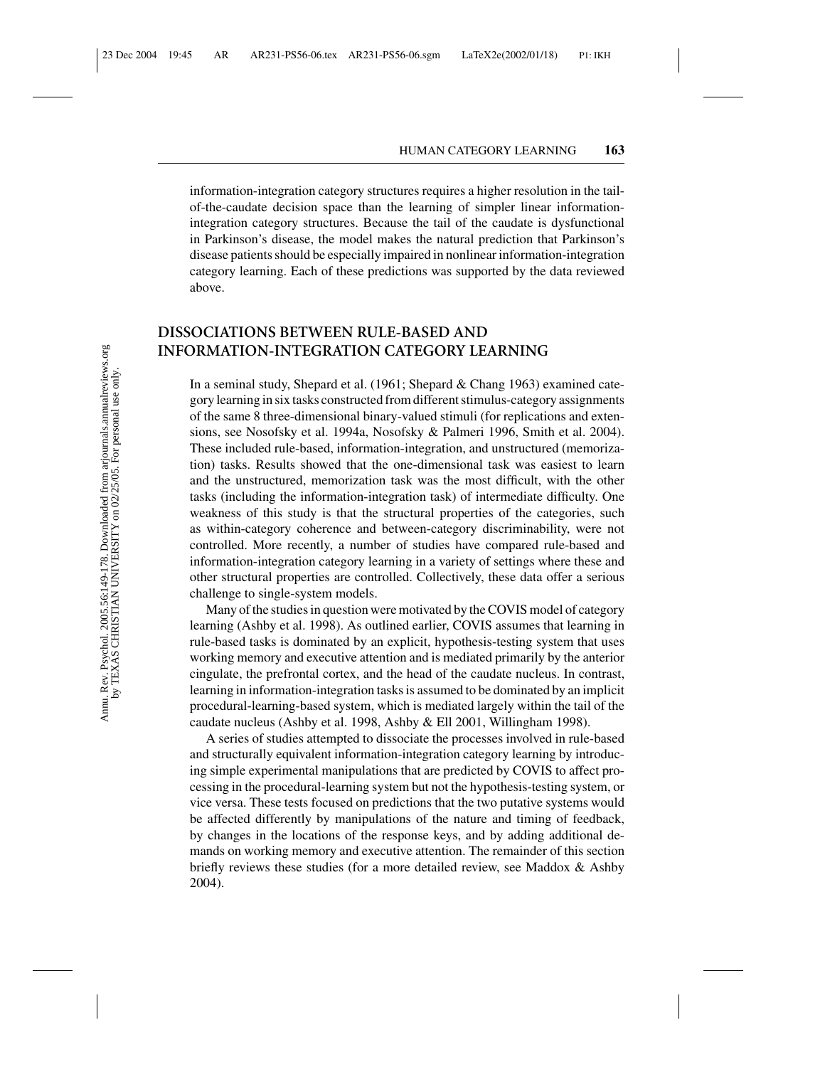information-integration category structures requires a higher resolution in the tailof-the-caudate decision space than the learning of simpler linear informationintegration category structures. Because the tail of the caudate is dysfunctional in Parkinson's disease, the model makes the natural prediction that Parkinson's disease patients should be especially impaired in nonlinear information-integration category learning. Each of these predictions was supported by the data reviewed above.

## **DISSOCIATIONS BETWEEN RULE-BASED AND INFORMATION-INTEGRATION CATEGORY LEARNING**

In a seminal study, Shepard et al. (1961; Shepard & Chang 1963) examined category learning in six tasks constructed from different stimulus-category assignments of the same 8 three-dimensional binary-valued stimuli (for replications and extensions, see Nosofsky et al. 1994a, Nosofsky & Palmeri 1996, Smith et al. 2004). These included rule-based, information-integration, and unstructured (memorization) tasks. Results showed that the one-dimensional task was easiest to learn and the unstructured, memorization task was the most difficult, with the other tasks (including the information-integration task) of intermediate difficulty. One weakness of this study is that the structural properties of the categories, such as within-category coherence and between-category discriminability, were not controlled. More recently, a number of studies have compared rule-based and information-integration category learning in a variety of settings where these and other structural properties are controlled. Collectively, these data offer a serious challenge to single-system models.

Many of the studies in question were motivated by the COVIS model of category learning (Ashby et al. 1998). As outlined earlier, COVIS assumes that learning in rule-based tasks is dominated by an explicit, hypothesis-testing system that uses working memory and executive attention and is mediated primarily by the anterior cingulate, the prefrontal cortex, and the head of the caudate nucleus. In contrast, learning in information-integration tasks is assumed to be dominated by an implicit procedural-learning-based system, which is mediated largely within the tail of the caudate nucleus (Ashby et al. 1998, Ashby & Ell 2001, Willingham 1998).

A series of studies attempted to dissociate the processes involved in rule-based and structurally equivalent information-integration category learning by introducing simple experimental manipulations that are predicted by COVIS to affect processing in the procedural-learning system but not the hypothesis-testing system, or vice versa. These tests focused on predictions that the two putative systems would be affected differently by manipulations of the nature and timing of feedback, by changes in the locations of the response keys, and by adding additional demands on working memory and executive attention. The remainder of this section briefly reviews these studies (for a more detailed review, see Maddox & Ashby 2004).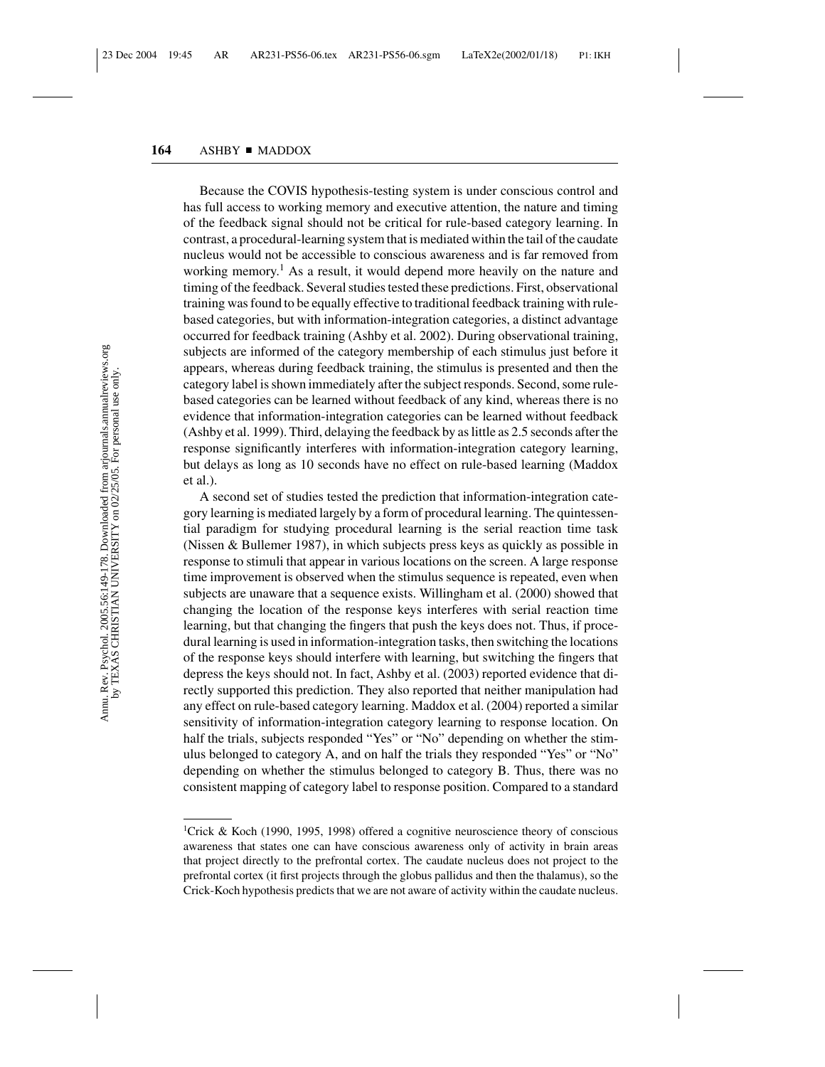Because the COVIS hypothesis-testing system is under conscious control and has full access to working memory and executive attention, the nature and timing of the feedback signal should not be critical for rule-based category learning. In contrast, a procedural-learning system that is mediated within the tail of the caudate nucleus would not be accessible to conscious awareness and is far removed from working memory.<sup>1</sup> As a result, it would depend more heavily on the nature and timing of the feedback. Several studies tested these predictions. First, observational training was found to be equally effective to traditional feedback training with rulebased categories, but with information-integration categories, a distinct advantage occurred for feedback training (Ashby et al. 2002). During observational training, subjects are informed of the category membership of each stimulus just before it appears, whereas during feedback training, the stimulus is presented and then the category label is shown immediately after the subject responds. Second, some rulebased categories can be learned without feedback of any kind, whereas there is no evidence that information-integration categories can be learned without feedback (Ashby et al. 1999). Third, delaying the feedback by as little as 2.5 seconds after the response significantly interferes with information-integration category learning, but delays as long as 10 seconds have no effect on rule-based learning (Maddox et al.).

A second set of studies tested the prediction that information-integration category learning is mediated largely by a form of procedural learning. The quintessential paradigm for studying procedural learning is the serial reaction time task (Nissen & Bullemer 1987), in which subjects press keys as quickly as possible in response to stimuli that appear in various locations on the screen. A large response time improvement is observed when the stimulus sequence is repeated, even when subjects are unaware that a sequence exists. Willingham et al. (2000) showed that changing the location of the response keys interferes with serial reaction time learning, but that changing the fingers that push the keys does not. Thus, if procedural learning is used in information-integration tasks, then switching the locations of the response keys should interfere with learning, but switching the fingers that depress the keys should not. In fact, Ashby et al. (2003) reported evidence that directly supported this prediction. They also reported that neither manipulation had any effect on rule-based category learning. Maddox et al. (2004) reported a similar sensitivity of information-integration category learning to response location. On half the trials, subjects responded "Yes" or "No" depending on whether the stimulus belonged to category A, and on half the trials they responded "Yes" or "No" depending on whether the stimulus belonged to category B. Thus, there was no consistent mapping of category label to response position. Compared to a standard

<sup>&</sup>lt;sup>1</sup>Crick & Koch (1990, 1995, 1998) offered a cognitive neuroscience theory of conscious awareness that states one can have conscious awareness only of activity in brain areas that project directly to the prefrontal cortex. The caudate nucleus does not project to the prefrontal cortex (it first projects through the globus pallidus and then the thalamus), so the Crick-Koch hypothesis predicts that we are not aware of activity within the caudate nucleus.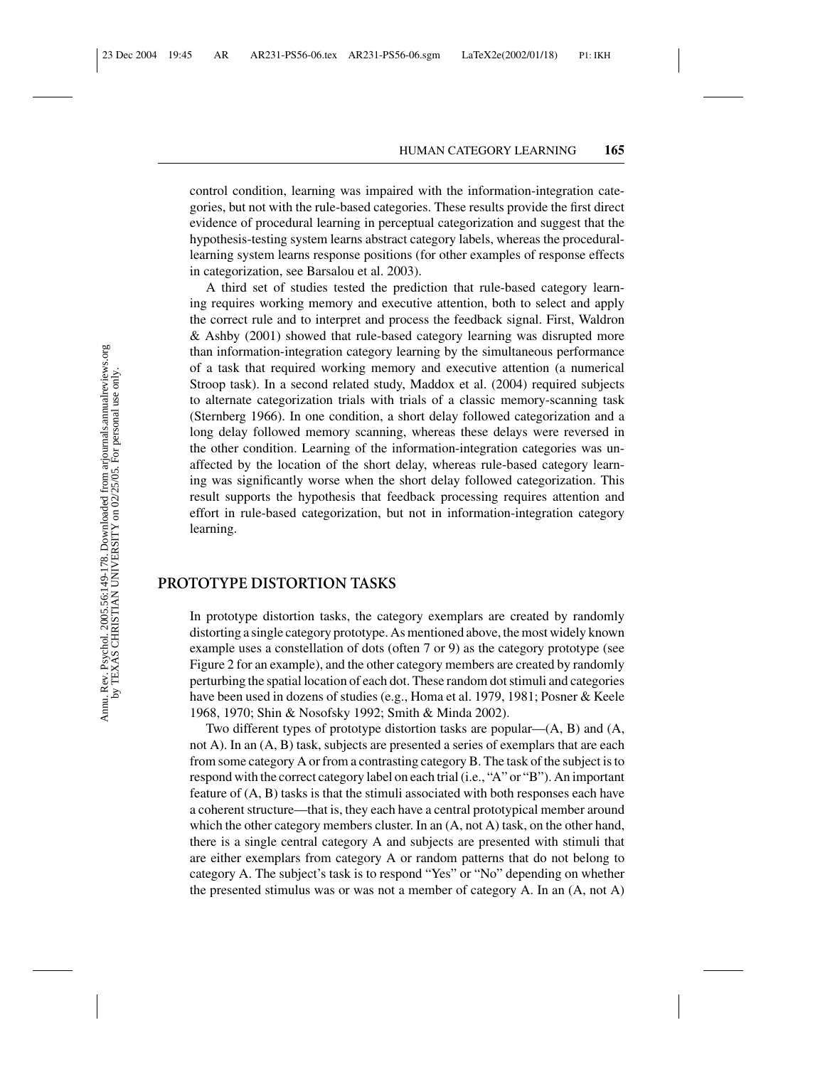control condition, learning was impaired with the information-integration categories, but not with the rule-based categories. These results provide the first direct evidence of procedural learning in perceptual categorization and suggest that the hypothesis-testing system learns abstract category labels, whereas the procedurallearning system learns response positions (for other examples of response effects in categorization, see Barsalou et al. 2003).

A third set of studies tested the prediction that rule-based category learning requires working memory and executive attention, both to select and apply the correct rule and to interpret and process the feedback signal. First, Waldron & Ashby (2001) showed that rule-based category learning was disrupted more than information-integration category learning by the simultaneous performance of a task that required working memory and executive attention (a numerical Stroop task). In a second related study, Maddox et al. (2004) required subjects to alternate categorization trials with trials of a classic memory-scanning task (Sternberg 1966). In one condition, a short delay followed categorization and a long delay followed memory scanning, whereas these delays were reversed in the other condition. Learning of the information-integration categories was unaffected by the location of the short delay, whereas rule-based category learning was significantly worse when the short delay followed categorization. This result supports the hypothesis that feedback processing requires attention and effort in rule-based categorization, but not in information-integration category learning.

#### **PROTOTYPE DISTORTION TASKS**

In prototype distortion tasks, the category exemplars are created by randomly distorting a single category prototype. As mentioned above, the most widely known example uses a constellation of dots (often 7 or 9) as the category prototype (see Figure 2 for an example), and the other category members are created by randomly perturbing the spatial location of each dot. These random dot stimuli and categories have been used in dozens of studies (e.g., Homa et al. 1979, 1981; Posner & Keele 1968, 1970; Shin & Nosofsky 1992; Smith & Minda 2002).

Two different types of prototype distortion tasks are popular—(A, B) and (A, not A). In an (A, B) task, subjects are presented a series of exemplars that are each from some category A or from a contrasting category B. The task of the subject is to respond with the correct category label on each trial (i.e., "A" or "B"). An important feature of (A, B) tasks is that the stimuli associated with both responses each have a coherent structure—that is, they each have a central prototypical member around which the other category members cluster. In an  $(A, not A)$  task, on the other hand, there is a single central category A and subjects are presented with stimuli that are either exemplars from category A or random patterns that do not belong to category A. The subject's task is to respond "Yes" or "No" depending on whether the presented stimulus was or was not a member of category A. In an (A, not A)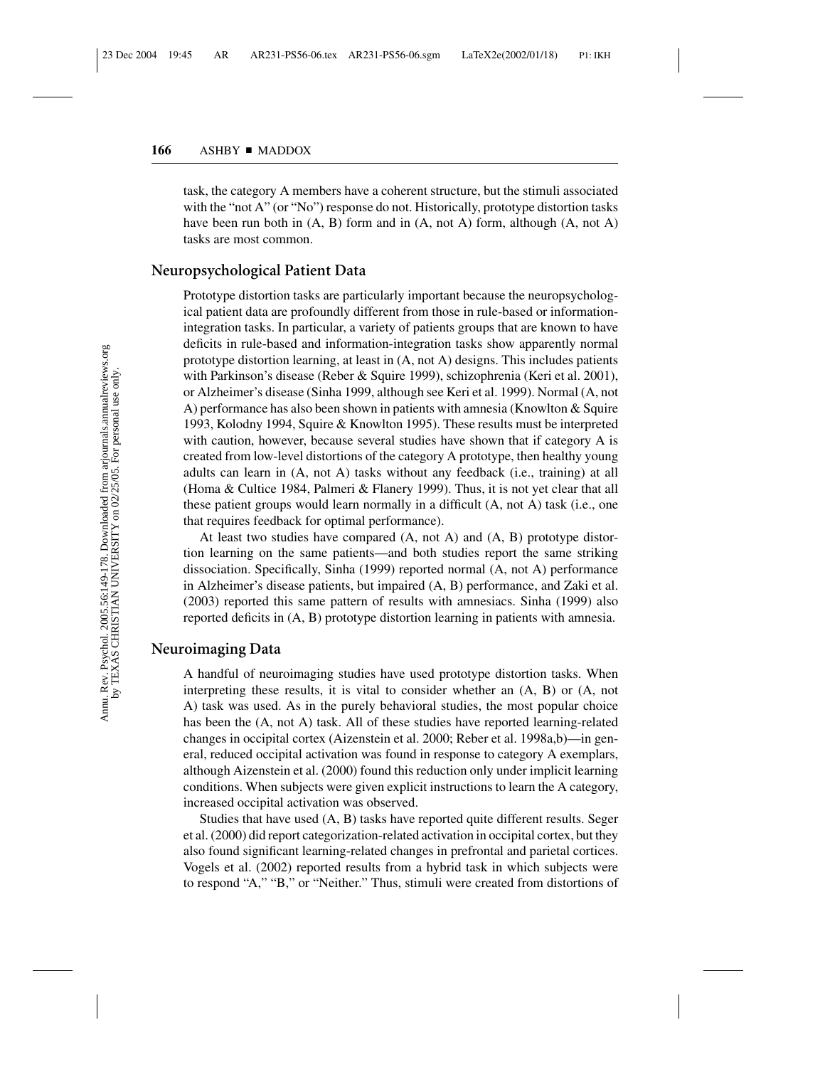task, the category A members have a coherent structure, but the stimuli associated with the "not A" (or "No") response do not. Historically, prototype distortion tasks have been run both in (A, B) form and in (A, not A) form, although (A, not A) tasks are most common.

### **Neuropsychological Patient Data**

Prototype distortion tasks are particularly important because the neuropsychological patient data are profoundly different from those in rule-based or informationintegration tasks. In particular, a variety of patients groups that are known to have deficits in rule-based and information-integration tasks show apparently normal prototype distortion learning, at least in (A, not A) designs. This includes patients with Parkinson's disease (Reber & Squire 1999), schizophrenia (Keri et al. 2001), or Alzheimer's disease (Sinha 1999, although see Keri et al. 1999). Normal (A, not A) performance has also been shown in patients with amnesia (Knowlton & Squire 1993, Kolodny 1994, Squire & Knowlton 1995). These results must be interpreted with caution, however, because several studies have shown that if category A is created from low-level distortions of the category A prototype, then healthy young adults can learn in (A, not A) tasks without any feedback (i.e., training) at all (Homa & Cultice 1984, Palmeri & Flanery 1999). Thus, it is not yet clear that all these patient groups would learn normally in a difficult (A, not A) task (i.e., one that requires feedback for optimal performance).

At least two studies have compared (A, not A) and (A, B) prototype distortion learning on the same patients—and both studies report the same striking dissociation. Specifically, Sinha (1999) reported normal (A, not A) performance in Alzheimer's disease patients, but impaired (A, B) performance, and Zaki et al. (2003) reported this same pattern of results with amnesiacs. Sinha (1999) also reported deficits in (A, B) prototype distortion learning in patients with amnesia.

#### **Neuroimaging Data**

A handful of neuroimaging studies have used prototype distortion tasks. When interpreting these results, it is vital to consider whether an (A, B) or (A, not A) task was used. As in the purely behavioral studies, the most popular choice has been the (A, not A) task. All of these studies have reported learning-related changes in occipital cortex (Aizenstein et al. 2000; Reber et al. 1998a,b)—in general, reduced occipital activation was found in response to category A exemplars, although Aizenstein et al. (2000) found this reduction only under implicit learning conditions. When subjects were given explicit instructions to learn the A category, increased occipital activation was observed.

Studies that have used (A, B) tasks have reported quite different results. Seger et al. (2000) did report categorization-related activation in occipital cortex, but they also found significant learning-related changes in prefrontal and parietal cortices. Vogels et al. (2002) reported results from a hybrid task in which subjects were to respond "A," "B," or "Neither." Thus, stimuli were created from distortions of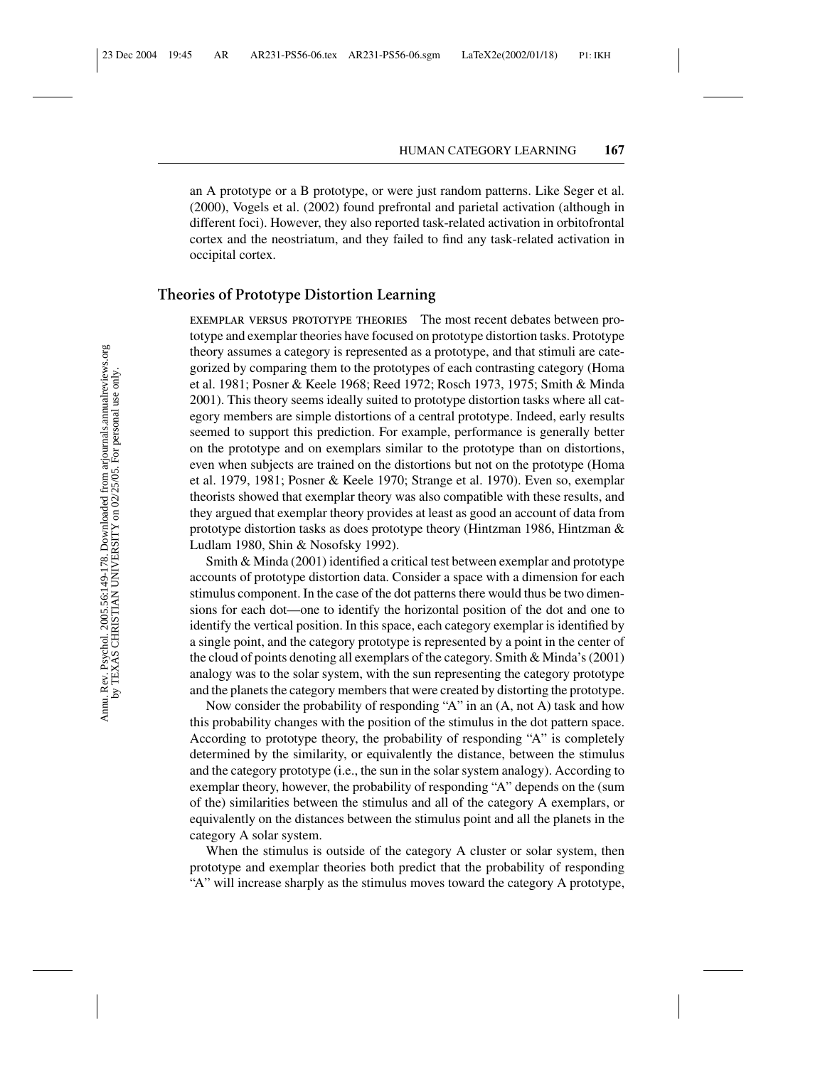an A prototype or a B prototype, or were just random patterns. Like Seger et al. (2000), Vogels et al. (2002) found prefrontal and parietal activation (although in different foci). However, they also reported task-related activation in orbitofrontal cortex and the neostriatum, and they failed to find any task-related activation in occipital cortex.

## **Theories of Prototype Distortion Learning**

**EXEMPLAR VERSUS PROTOTYPE THEORIES** The most recent debates between prototype and exemplar theories have focused on prototype distortion tasks. Prototype theory assumes a category is represented as a prototype, and that stimuli are categorized by comparing them to the prototypes of each contrasting category (Homa et al. 1981; Posner & Keele 1968; Reed 1972; Rosch 1973, 1975; Smith & Minda 2001). This theory seems ideally suited to prototype distortion tasks where all category members are simple distortions of a central prototype. Indeed, early results seemed to support this prediction. For example, performance is generally better on the prototype and on exemplars similar to the prototype than on distortions, even when subjects are trained on the distortions but not on the prototype (Homa et al. 1979, 1981; Posner & Keele 1970; Strange et al. 1970). Even so, exemplar theorists showed that exemplar theory was also compatible with these results, and they argued that exemplar theory provides at least as good an account of data from prototype distortion tasks as does prototype theory (Hintzman 1986, Hintzman & Ludlam 1980, Shin & Nosofsky 1992).

Smith & Minda (2001) identified a critical test between exemplar and prototype accounts of prototype distortion data. Consider a space with a dimension for each stimulus component. In the case of the dot patterns there would thus be two dimensions for each dot—one to identify the horizontal position of the dot and one to identify the vertical position. In this space, each category exemplar is identified by a single point, and the category prototype is represented by a point in the center of the cloud of points denoting all exemplars of the category. Smith & Minda's (2001) analogy was to the solar system, with the sun representing the category prototype and the planets the category members that were created by distorting the prototype.

Now consider the probability of responding "A" in an (A, not A) task and how this probability changes with the position of the stimulus in the dot pattern space. According to prototype theory, the probability of responding "A" is completely determined by the similarity, or equivalently the distance, between the stimulus and the category prototype (i.e., the sun in the solar system analogy). According to exemplar theory, however, the probability of responding "A" depends on the (sum of the) similarities between the stimulus and all of the category A exemplars, or equivalently on the distances between the stimulus point and all the planets in the category A solar system.

When the stimulus is outside of the category A cluster or solar system, then prototype and exemplar theories both predict that the probability of responding "A" will increase sharply as the stimulus moves toward the category A prototype,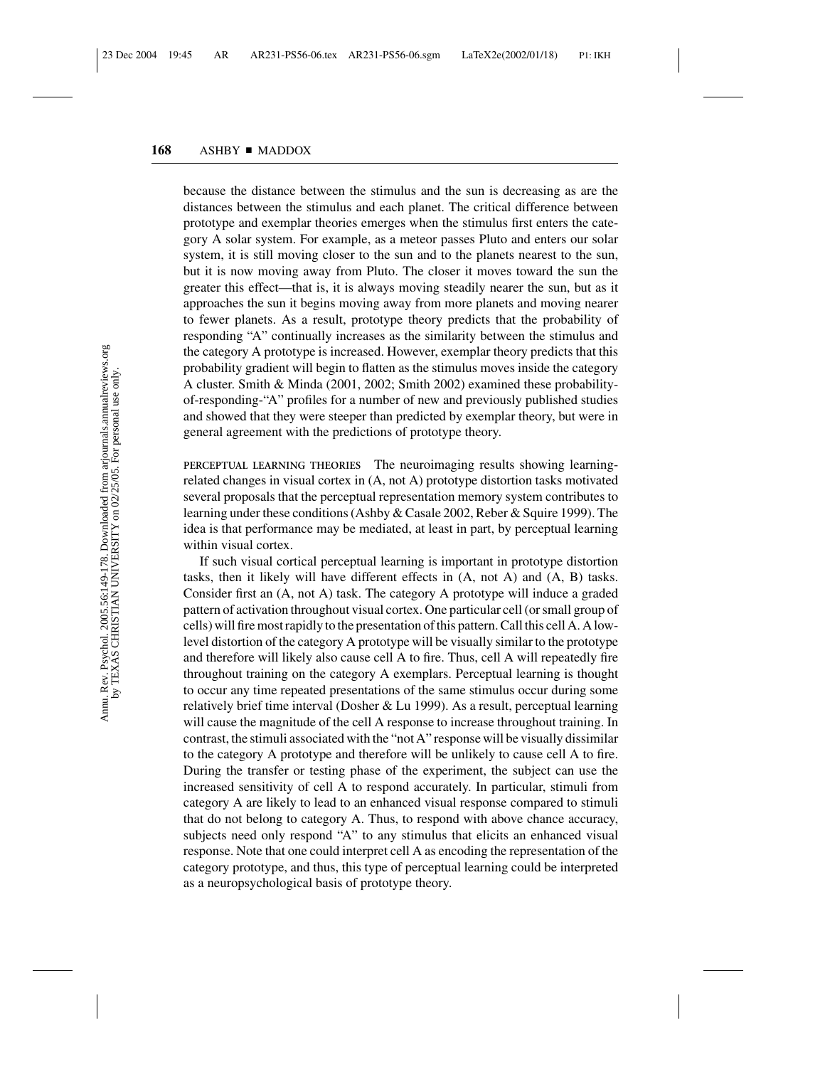because the distance between the stimulus and the sun is decreasing as are the distances between the stimulus and each planet. The critical difference between prototype and exemplar theories emerges when the stimulus first enters the category A solar system. For example, as a meteor passes Pluto and enters our solar system, it is still moving closer to the sun and to the planets nearest to the sun, but it is now moving away from Pluto. The closer it moves toward the sun the greater this effect—that is, it is always moving steadily nearer the sun, but as it approaches the sun it begins moving away from more planets and moving nearer to fewer planets. As a result, prototype theory predicts that the probability of responding "A" continually increases as the similarity between the stimulus and the category A prototype is increased. However, exemplar theory predicts that this probability gradient will begin to flatten as the stimulus moves inside the category A cluster. Smith & Minda (2001, 2002; Smith 2002) examined these probabilityof-responding-"A" profiles for a number of new and previously published studies and showed that they were steeper than predicted by exemplar theory, but were in general agreement with the predictions of prototype theory.

**PERCEPTUAL LEARNING THEORIES** The neuroimaging results showing learningrelated changes in visual cortex in (A, not A) prototype distortion tasks motivated several proposals that the perceptual representation memory system contributes to learning under these conditions (Ashby & Casale 2002, Reber & Squire 1999). The idea is that performance may be mediated, at least in part, by perceptual learning within visual cortex.

If such visual cortical perceptual learning is important in prototype distortion tasks, then it likely will have different effects in (A, not A) and (A, B) tasks. Consider first an (A, not A) task. The category A prototype will induce a graded pattern of activation throughout visual cortex. One particular cell (or small group of cells) will fire most rapidly to the presentation of this pattern. Call this cell A. A lowlevel distortion of the category A prototype will be visually similar to the prototype and therefore will likely also cause cell A to fire. Thus, cell A will repeatedly fire throughout training on the category A exemplars. Perceptual learning is thought to occur any time repeated presentations of the same stimulus occur during some relatively brief time interval (Dosher & Lu 1999). As a result, perceptual learning will cause the magnitude of the cell A response to increase throughout training. In contrast, the stimuli associated with the "not A" response will be visually dissimilar to the category A prototype and therefore will be unlikely to cause cell A to fire. During the transfer or testing phase of the experiment, the subject can use the increased sensitivity of cell A to respond accurately. In particular, stimuli from category A are likely to lead to an enhanced visual response compared to stimuli that do not belong to category A. Thus, to respond with above chance accuracy, subjects need only respond "A" to any stimulus that elicits an enhanced visual response. Note that one could interpret cell A as encoding the representation of the category prototype, and thus, this type of perceptual learning could be interpreted as a neuropsychological basis of prototype theory.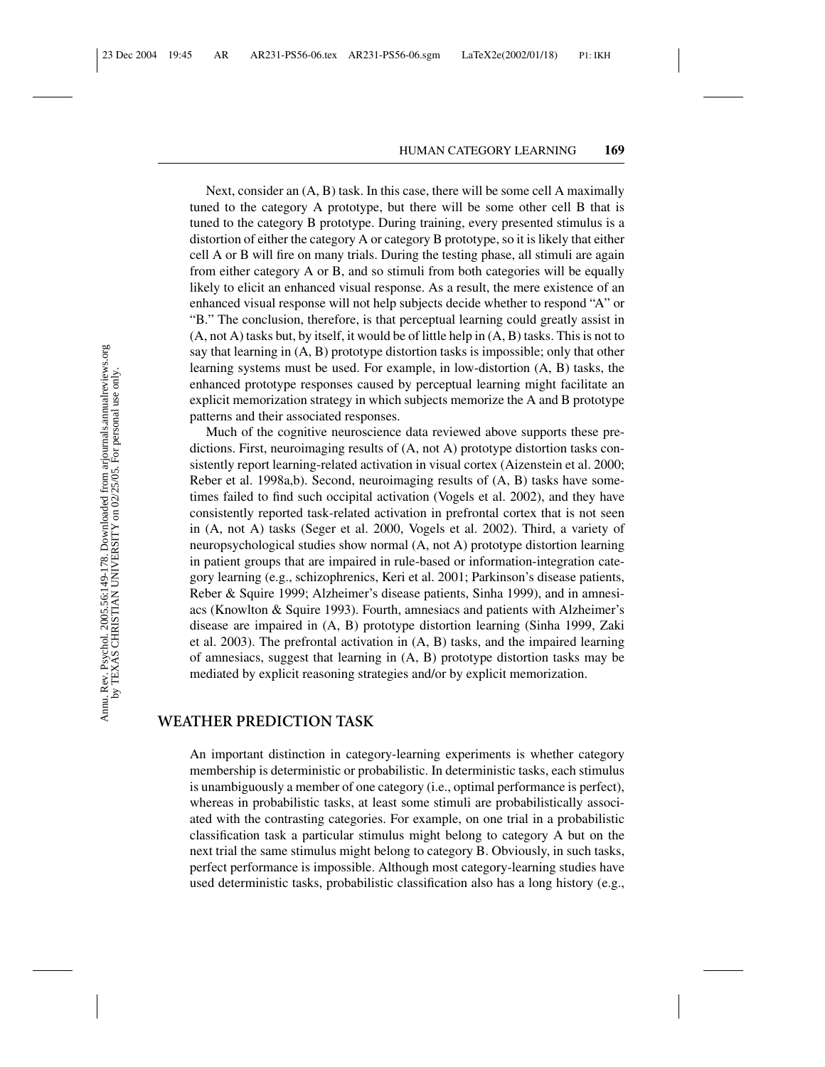Next, consider an (A, B) task. In this case, there will be some cell A maximally tuned to the category A prototype, but there will be some other cell B that is tuned to the category B prototype. During training, every presented stimulus is a distortion of either the category A or category B prototype, so it is likely that either cell A or B will fire on many trials. During the testing phase, all stimuli are again from either category A or B, and so stimuli from both categories will be equally likely to elicit an enhanced visual response. As a result, the mere existence of an enhanced visual response will not help subjects decide whether to respond "A" or "B." The conclusion, therefore, is that perceptual learning could greatly assist in (A, not A) tasks but, by itself, it would be of little help in (A, B) tasks. This is not to say that learning in (A, B) prototype distortion tasks is impossible; only that other learning systems must be used. For example, in low-distortion (A, B) tasks, the enhanced prototype responses caused by perceptual learning might facilitate an explicit memorization strategy in which subjects memorize the A and B prototype patterns and their associated responses.

Much of the cognitive neuroscience data reviewed above supports these predictions. First, neuroimaging results of (A, not A) prototype distortion tasks consistently report learning-related activation in visual cortex (Aizenstein et al. 2000; Reber et al. 1998a,b). Second, neuroimaging results of (A, B) tasks have sometimes failed to find such occipital activation (Vogels et al. 2002), and they have consistently reported task-related activation in prefrontal cortex that is not seen in (A, not A) tasks (Seger et al. 2000, Vogels et al. 2002). Third, a variety of neuropsychological studies show normal (A, not A) prototype distortion learning in patient groups that are impaired in rule-based or information-integration category learning (e.g., schizophrenics, Keri et al. 2001; Parkinson's disease patients, Reber & Squire 1999; Alzheimer's disease patients, Sinha 1999), and in amnesiacs (Knowlton & Squire 1993). Fourth, amnesiacs and patients with Alzheimer's disease are impaired in (A, B) prototype distortion learning (Sinha 1999, Zaki et al. 2003). The prefrontal activation in (A, B) tasks, and the impaired learning of amnesiacs, suggest that learning in (A, B) prototype distortion tasks may be mediated by explicit reasoning strategies and/or by explicit memorization.

#### **WEATHER PREDICTION TASK**

An important distinction in category-learning experiments is whether category membership is deterministic or probabilistic. In deterministic tasks, each stimulus is unambiguously a member of one category (i.e., optimal performance is perfect), whereas in probabilistic tasks, at least some stimuli are probabilistically associated with the contrasting categories. For example, on one trial in a probabilistic classification task a particular stimulus might belong to category A but on the next trial the same stimulus might belong to category B. Obviously, in such tasks, perfect performance is impossible. Although most category-learning studies have used deterministic tasks, probabilistic classification also has a long history (e.g.,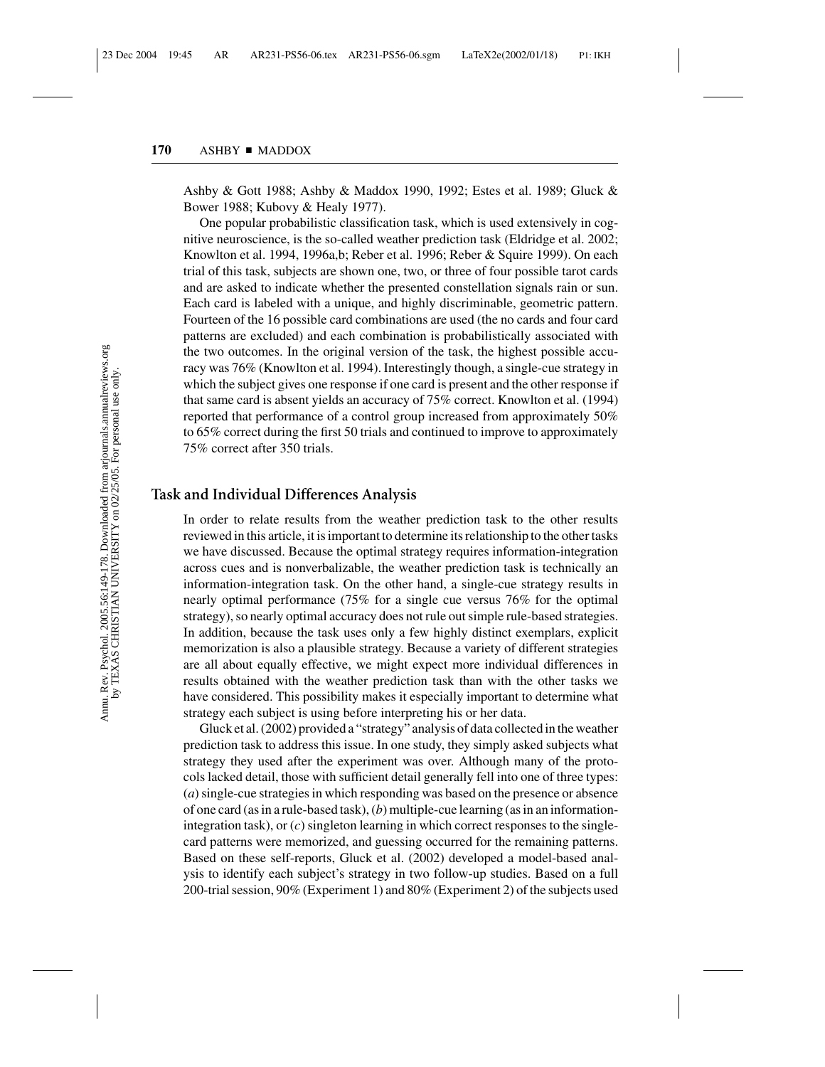Ashby & Gott 1988; Ashby & Maddox 1990, 1992; Estes et al. 1989; Gluck & Bower 1988; Kubovy & Healy 1977).

One popular probabilistic classification task, which is used extensively in cognitive neuroscience, is the so-called weather prediction task (Eldridge et al. 2002; Knowlton et al. 1994, 1996a,b; Reber et al. 1996; Reber & Squire 1999). On each trial of this task, subjects are shown one, two, or three of four possible tarot cards and are asked to indicate whether the presented constellation signals rain or sun. Each card is labeled with a unique, and highly discriminable, geometric pattern. Fourteen of the 16 possible card combinations are used (the no cards and four card patterns are excluded) and each combination is probabilistically associated with the two outcomes. In the original version of the task, the highest possible accuracy was 76% (Knowlton et al. 1994). Interestingly though, a single-cue strategy in which the subject gives one response if one card is present and the other response if that same card is absent yields an accuracy of 75% correct. Knowlton et al. (1994) reported that performance of a control group increased from approximately 50% to 65% correct during the first 50 trials and continued to improve to approximately 75% correct after 350 trials.

#### **Task and Individual Differences Analysis**

In order to relate results from the weather prediction task to the other results reviewed in this article, it is important to determine its relationship to the other tasks we have discussed. Because the optimal strategy requires information-integration across cues and is nonverbalizable, the weather prediction task is technically an information-integration task. On the other hand, a single-cue strategy results in nearly optimal performance (75% for a single cue versus 76% for the optimal strategy), so nearly optimal accuracy does not rule out simple rule-based strategies. In addition, because the task uses only a few highly distinct exemplars, explicit memorization is also a plausible strategy. Because a variety of different strategies are all about equally effective, we might expect more individual differences in results obtained with the weather prediction task than with the other tasks we have considered. This possibility makes it especially important to determine what strategy each subject is using before interpreting his or her data.

Gluck et al. (2002) provided a "strategy" analysis of data collected in the weather prediction task to address this issue. In one study, they simply asked subjects what strategy they used after the experiment was over. Although many of the protocols lacked detail, those with sufficient detail generally fell into one of three types: (*a*)single-cue strategies in which responding was based on the presence or absence of one card (as in a rule-based task), (*b*) multiple-cue learning (as in an informationintegration task), or (*c*) singleton learning in which correct responses to the singlecard patterns were memorized, and guessing occurred for the remaining patterns. Based on these self-reports, Gluck et al. (2002) developed a model-based analysis to identify each subject's strategy in two follow-up studies. Based on a full 200-trial session, 90% (Experiment 1) and 80% (Experiment 2) of the subjects used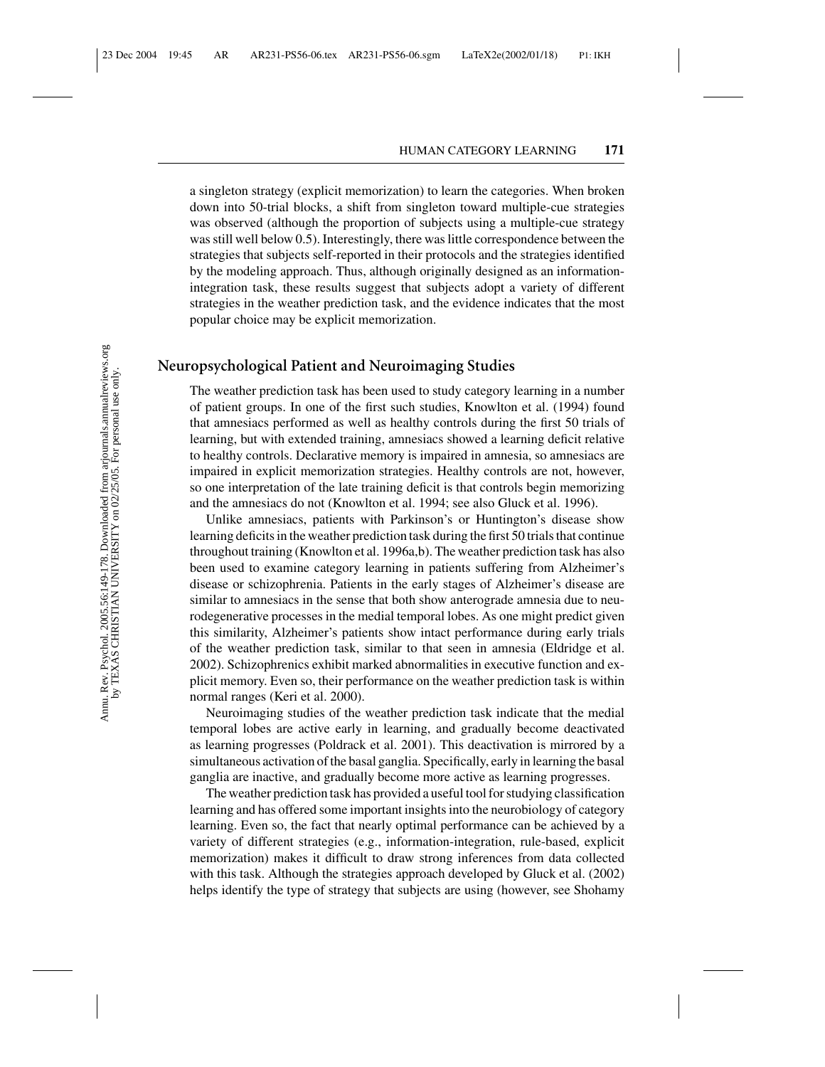a singleton strategy (explicit memorization) to learn the categories. When broken down into 50-trial blocks, a shift from singleton toward multiple-cue strategies was observed (although the proportion of subjects using a multiple-cue strategy was still well below 0.5). Interestingly, there was little correspondence between the strategies that subjects self-reported in their protocols and the strategies identified by the modeling approach. Thus, although originally designed as an informationintegration task, these results suggest that subjects adopt a variety of different strategies in the weather prediction task, and the evidence indicates that the most popular choice may be explicit memorization.

## **Neuropsychological Patient and Neuroimaging Studies**

The weather prediction task has been used to study category learning in a number of patient groups. In one of the first such studies, Knowlton et al. (1994) found that amnesiacs performed as well as healthy controls during the first 50 trials of learning, but with extended training, amnesiacs showed a learning deficit relative to healthy controls. Declarative memory is impaired in amnesia, so amnesiacs are impaired in explicit memorization strategies. Healthy controls are not, however, so one interpretation of the late training deficit is that controls begin memorizing and the amnesiacs do not (Knowlton et al. 1994; see also Gluck et al. 1996).

Unlike amnesiacs, patients with Parkinson's or Huntington's disease show learning deficits in the weather prediction task during the first 50 trials that continue throughout training (Knowlton et al. 1996a,b). The weather prediction task has also been used to examine category learning in patients suffering from Alzheimer's disease or schizophrenia. Patients in the early stages of Alzheimer's disease are similar to amnesiacs in the sense that both show anterograde amnesia due to neurodegenerative processes in the medial temporal lobes. As one might predict given this similarity, Alzheimer's patients show intact performance during early trials of the weather prediction task, similar to that seen in amnesia (Eldridge et al. 2002). Schizophrenics exhibit marked abnormalities in executive function and explicit memory. Even so, their performance on the weather prediction task is within normal ranges (Keri et al. 2000).

Neuroimaging studies of the weather prediction task indicate that the medial temporal lobes are active early in learning, and gradually become deactivated as learning progresses (Poldrack et al. 2001). This deactivation is mirrored by a simultaneous activation of the basal ganglia. Specifically, early in learning the basal ganglia are inactive, and gradually become more active as learning progresses.

The weather prediction task has provided a useful tool for studying classification learning and has offered some important insights into the neurobiology of category learning. Even so, the fact that nearly optimal performance can be achieved by a variety of different strategies (e.g., information-integration, rule-based, explicit memorization) makes it difficult to draw strong inferences from data collected with this task. Although the strategies approach developed by Gluck et al. (2002) helps identify the type of strategy that subjects are using (however, see Shohamy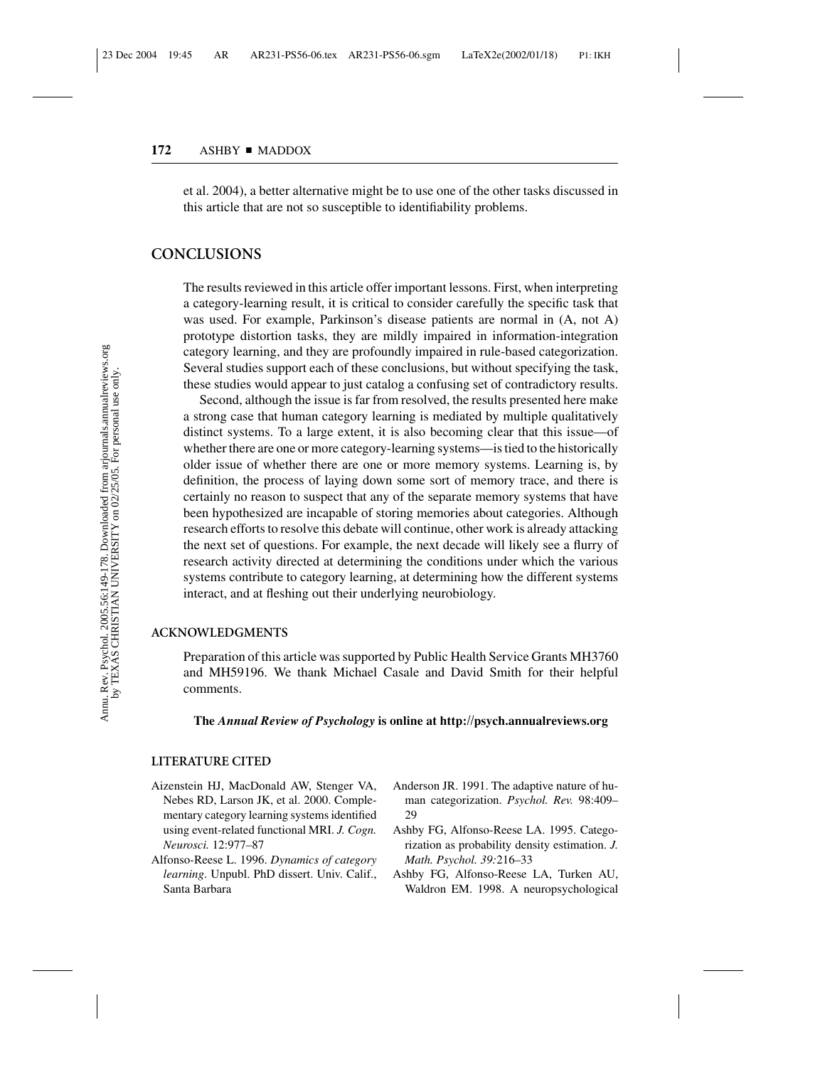et al. 2004), a better alternative might be to use one of the other tasks discussed in this article that are not so susceptible to identifiability problems.

#### **CONCLUSIONS**

The results reviewed in this article offer important lessons. First, when interpreting a category-learning result, it is critical to consider carefully the specific task that was used. For example, Parkinson's disease patients are normal in (A, not A) prototype distortion tasks, they are mildly impaired in information-integration category learning, and they are profoundly impaired in rule-based categorization. Several studies support each of these conclusions, but without specifying the task, these studies would appear to just catalog a confusing set of contradictory results.

Second, although the issue is far from resolved, the results presented here make a strong case that human category learning is mediated by multiple qualitatively distinct systems. To a large extent, it is also becoming clear that this issue—of whether there are one or more category-learning systems—is tied to the historically older issue of whether there are one or more memory systems. Learning is, by definition, the process of laying down some sort of memory trace, and there is certainly no reason to suspect that any of the separate memory systems that have been hypothesized are incapable of storing memories about categories. Although research efforts to resolve this debate will continue, other work is already attacking the next set of questions. For example, the next decade will likely see a flurry of research activity directed at determining the conditions under which the various systems contribute to category learning, at determining how the different systems interact, and at fleshing out their underlying neurobiology.

#### **ACKNOWLEDGMENTS**

Preparation of this article was supported by Public Health Service Grants MH3760 and MH59196. We thank Michael Casale and David Smith for their helpful comments.

#### **The** *Annual Review of Psychology* **is online at http://psych.annualreviews.org**

#### **LITERATURE CITED**

- Aizenstein HJ, MacDonald AW, Stenger VA, Nebes RD, Larson JK, et al. 2000. Complementary category learning systems identified using event-related functional MRI. *J. Cogn. Neurosci.* 12:977–87
- Alfonso-Reese L. 1996. *Dynamics of category learning*. Unpubl. PhD dissert. Univ. Calif., Santa Barbara
- Anderson JR. 1991. The adaptive nature of human categorization. *Psychol. Rev.* 98:409– 29
- Ashby FG, Alfonso-Reese LA. 1995. Categorization as probability density estimation. *J. Math. Psychol. 39:*216–33
- Ashby FG, Alfonso-Reese LA, Turken AU, Waldron EM. 1998. A neuropsychological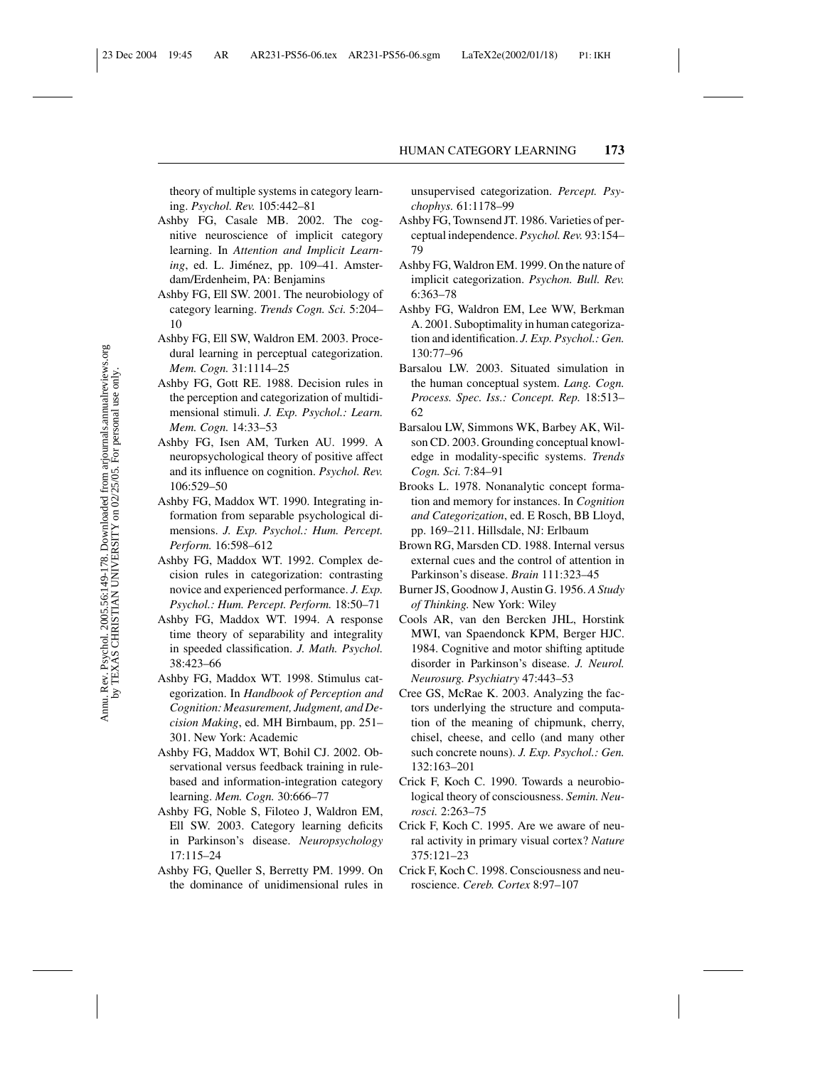theory of multiple systems in category learning. *Psychol. Rev.* 105:442–81

- Ashby FG, Casale MB. 2002. The cognitive neuroscience of implicit category learning. In *Attention and Implicit Learn*ing, ed. L. Jiménez, pp. 109-41. Amsterdam/Erdenheim, PA: Benjamins
- Ashby FG, Ell SW. 2001. The neurobiology of category learning. *Trends Cogn. Sci.* 5:204– 10
- Ashby FG, Ell SW, Waldron EM. 2003. Procedural learning in perceptual categorization. *Mem. Cogn.* 31:1114–25
- Ashby FG, Gott RE. 1988. Decision rules in the perception and categorization of multidimensional stimuli. *J. Exp. Psychol.: Learn. Mem. Cogn.* 14:33–53
- Ashby FG, Isen AM, Turken AU. 1999. A neuropsychological theory of positive affect and its influence on cognition. *Psychol. Rev.* 106:529–50
- Ashby FG, Maddox WT. 1990. Integrating information from separable psychological dimensions. *J. Exp. Psychol.: Hum. Percept. Perform.* 16:598–612
- Ashby FG, Maddox WT. 1992. Complex decision rules in categorization: contrasting novice and experienced performance. *J. Exp. Psychol.: Hum. Percept. Perform.* 18:50–71
- Ashby FG, Maddox WT. 1994. A response time theory of separability and integrality in speeded classification. *J. Math. Psychol.* 38:423–66
- Ashby FG, Maddox WT. 1998. Stimulus categorization. In *Handbook of Perception and Cognition: Measurement, Judgment, and Decision Making*, ed. MH Birnbaum, pp. 251– 301. New York: Academic
- Ashby FG, Maddox WT, Bohil CJ. 2002. Observational versus feedback training in rulebased and information-integration category learning. *Mem. Cogn.* 30:666–77
- Ashby FG, Noble S, Filoteo J, Waldron EM, Ell SW. 2003. Category learning deficits in Parkinson's disease. *Neuropsychology* 17:115–24
- Ashby FG, Queller S, Berretty PM. 1999. On the dominance of unidimensional rules in

unsupervised categorization. *Percept. Psychophys.* 61:1178–99

- Ashby FG, Townsend JT. 1986. Varieties of perceptual independence. *Psychol. Rev.* 93:154– 79
- Ashby FG, Waldron EM. 1999. On the nature of implicit categorization. *Psychon. Bull. Rev.* 6:363–78
- Ashby FG, Waldron EM, Lee WW, Berkman A. 2001. Suboptimality in human categorization and identification. *J. Exp. Psychol.: Gen.* 130:77–96
- Barsalou LW. 2003. Situated simulation in the human conceptual system. *Lang. Cogn. Process. Spec. Iss.: Concept. Rep.* 18:513– 62
- Barsalou LW, Simmons WK, Barbey AK, Wilson CD. 2003. Grounding conceptual knowledge in modality-specific systems. *Trends Cogn. Sci.* 7:84–91
- Brooks L. 1978. Nonanalytic concept formation and memory for instances. In *Cognition and Categorization*, ed. E Rosch, BB Lloyd, pp. 169–211. Hillsdale, NJ: Erlbaum
- Brown RG, Marsden CD. 1988. Internal versus external cues and the control of attention in Parkinson's disease. *Brain* 111:323–45
- Burner JS, Goodnow J, Austin G. 1956. *A Study of Thinking.* New York: Wiley
- Cools AR, van den Bercken JHL, Horstink MWI, van Spaendonck KPM, Berger HJC. 1984. Cognitive and motor shifting aptitude disorder in Parkinson's disease. *J. Neurol. Neurosurg. Psychiatry* 47:443–53
- Cree GS, McRae K. 2003. Analyzing the factors underlying the structure and computation of the meaning of chipmunk, cherry, chisel, cheese, and cello (and many other such concrete nouns). *J. Exp. Psychol.: Gen.* 132:163–201
- Crick F, Koch C. 1990. Towards a neurobiological theory of consciousness. *Semin. Neurosci.* 2:263–75
- Crick F, Koch C. 1995. Are we aware of neural activity in primary visual cortex? *Nature* 375:121–23
- Crick F, Koch C. 1998. Consciousness and neuroscience. *Cereb. Cortex* 8:97–107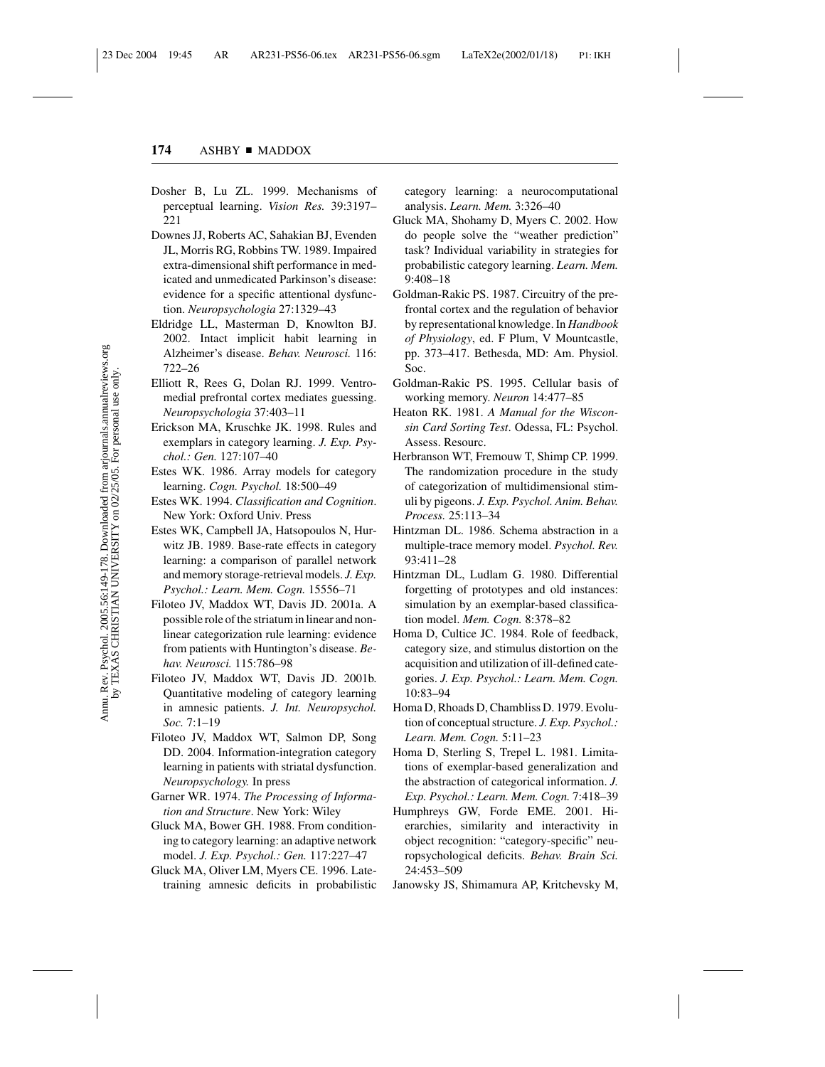- Dosher B, Lu ZL. 1999. Mechanisms of perceptual learning. *Vision Res.* 39:3197– 221
- Downes JJ, Roberts AC, Sahakian BJ, Evenden JL, Morris RG, Robbins TW. 1989. Impaired extra-dimensional shift performance in medicated and unmedicated Parkinson's disease: evidence for a specific attentional dysfunction. *Neuropsychologia* 27:1329–43
- Eldridge LL, Masterman D, Knowlton BJ. 2002. Intact implicit habit learning Alzheimer's disease. *Behav. Neurosci.* 116: 722–26
- Elliott R, Rees G, Dolan RJ. 1999. Ventromedial prefrontal cortex mediates guessing. *Neuropsychologia* 37:403–11
- Erickson MA, Kruschke JK. 1998. Rules and exemplars in category learning. *J. Exp. Psychol.: Gen.* 127:107–40
- Estes WK. 1986. Array models for category learning. *Cogn. Psychol.* 18:500–49
- Estes WK. 1994. *Classification and Cognition*. New York: Oxford Univ. Press
- Estes WK, Campbell JA, Hatsopoulos N, Hurwitz JB. 1989. Base-rate effects in category learning: a comparison of parallel network and memory storage-retrieval models. *J. Exp. Psychol.: Learn. Mem. Cogn.* 15556–71
- Filoteo JV, Maddox WT, Davis JD. 2001a. A possible role of the striatum in linear and nonlinear categorization rule learning: evidence from patients with Huntington's disease. *Behav. Neurosci.* 115:786–98
- Filoteo JV, Maddox WT, Davis JD. 2001b. Quantitative modeling of category learning in amnesic patients. *J. Int. Neuropsychol. Soc.* 7:1–19
- Filoteo JV, Maddox WT, Salmon DP, Song DD. 2004. Information-integration category learning in patients with striatal dysfunction. *Neuropsychology.* In press
- Garner WR. 1974. *The Processing of Information and Structure*. New York: Wiley
- Gluck MA, Bower GH. 1988. From conditioning to category learning: an adaptive network model. *J. Exp. Psychol.: Gen.* 117:227–47
- Gluck MA, Oliver LM, Myers CE. 1996. Latetraining amnesic deficits in probabilistic

category learning: a neurocomputational analysis. *Learn. Mem.* 3:326–40

- Gluck MA, Shohamy D, Myers C. 2002. How do people solve the "weather prediction" task? Individual variability in strategies for probabilistic category learning. *Learn. Mem.* 9:408–18
- Goldman-Rakic PS. 1987. Circuitry of the prefrontal cortex and the regulation of behavior by representational knowledge. In *Handbook of Physiology*, ed. F Plum, V Mountcastle, pp. 373–417. Bethesda, MD: Am. Physiol. Soc.
- Goldman-Rakic PS. 1995. Cellular basis of working memory. *Neuron* 14:477–85
- Heaton RK. 1981. *A Manual for the Wisconsin Card Sorting Test*. Odessa, FL: Psychol. Assess. Resourc.
- Herbranson WT, Fremouw T, Shimp CP. 1999. The randomization procedure in the study of categorization of multidimensional stimuli by pigeons. *J. Exp. Psychol. Anim. Behav. Process.* 25:113–34
- Hintzman DL. 1986. Schema abstraction in a multiple-trace memory model. *Psychol. Rev.* 93:411–28
- Hintzman DL, Ludlam G. 1980. Differential forgetting of prototypes and old instances: simulation by an exemplar-based classification model. *Mem. Cogn.* 8:378–82
- Homa D, Cultice JC. 1984. Role of feedback, category size, and stimulus distortion on the acquisition and utilization of ill-defined categories. *J. Exp. Psychol.: Learn. Mem. Cogn.* 10:83–94
- Homa D, Rhoads D, Chambliss D. 1979. Evolution of conceptual structure. *J. Exp. Psychol.: Learn. Mem. Cogn.* 5:11–23
- Homa D, Sterling S, Trepel L. 1981. Limitations of exemplar-based generalization and the abstraction of categorical information. *J. Exp. Psychol.: Learn. Mem. Cogn.* 7:418–39
- Humphreys GW, Forde EME. 2001. Hierarchies, similarity and interactivity in object recognition: "category-specific" neuropsychological deficits. *Behav. Brain Sci.* 24:453–509
- Janowsky JS, Shimamura AP, Kritchevsky M,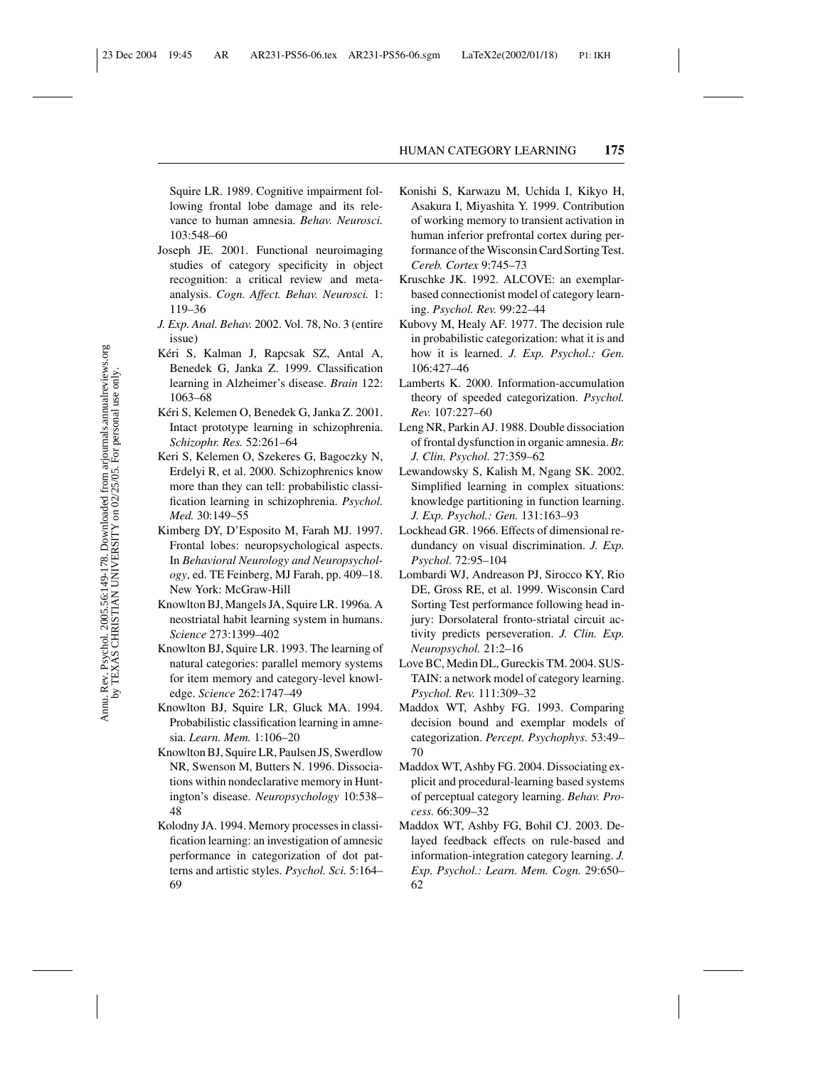Squire LR. 1989. Cognitive impairment following frontal lobe damage and its relevance to human amnesia. *Behav. Neurosci.* 103:548–60

- Joseph JE. 2001. Functional neuroimaging studies of category specificity in object recognition: a critical review and metaanalysis. *Cogn. Affect. Behav. Neurosci.* 1: 119–36
- *J. Exp. Anal. Behav.* 2002. Vol. 78, No. 3 (entire issue)
- Kéri S, Kalman J, Rapcsak SZ, Antal A, Benedek G, Janka Z. 1999. Classification learning in Alzheimer's disease. *Brain* 122: 1063–68
- Kéri S, Kelemen O, Benedek G, Janka Z. 2001. Intact prototype learning in schizophrenia. *Schizophr. Res.* 52:261–64
- Keri S, Kelemen O, Szekeres G, Bagoczky N, Erdelyi R, et al. 2000. Schizophrenics know more than they can tell: probabilistic classification learning in schizophrenia. *Psychol. Med.* 30:149–55
- Kimberg DY, D'Esposito M, Farah MJ. 1997. Frontal lobes: neuropsychological aspects. In *Behavioral Neurology and Neuropsychology*, ed. TE Feinberg, MJ Farah, pp. 409–18. New York: McGraw-Hill
- Knowlton BJ, Mangels JA, Squire LR. 1996a. A neostriatal habit learning system in humans. *Science* 273:1399–402
- Knowlton BJ, Squire LR. 1993. The learning of natural categories: parallel memory systems for item memory and category-level knowledge. *Science* 262:1747–49
- Knowlton BJ, Squire LR, Gluck MA. 1994. Probabilistic classification learning in amnesia. *Learn. Mem.* 1:106–20
- Knowlton BJ, Squire LR, Paulsen JS, Swerdlow NR, Swenson M, Butters N. 1996. Dissociations within nondeclarative memory in Huntington's disease. *Neuropsychology* 10:538– 48
- Kolodny JA. 1994. Memory processes in classification learning: an investigation of amnesic performance in categorization of dot patterns and artistic styles. *Psychol. Sci.* 5:164– 69
- Konishi S, Karwazu M, Uchida I, Kikyo H, Asakura I, Miyashita Y. 1999. Contribution of working memory to transient activation in human inferior prefrontal cortex during performance of the Wisconsin Card Sorting Test. *Cereb. Cortex* 9:745–73
- Kruschke JK. 1992. ALCOVE: an exemplarbased connectionist model of category learning. *Psychol. Rev.* 99:22–44
- Kubovy M, Healy AF. 1977. The decision rule in probabilistic categorization: what it is and how it is learned. *J. Exp. Psychol.: Gen.* 106:427–46
- Lamberts K. 2000. Information-accumulation theory of speeded categorization. *Psychol. Rev.* 107:227–60
- Leng NR, Parkin AJ. 1988. Double dissociation of frontal dysfunction in organic amnesia. *Br. J. Clin. Psychol.* 27:359–62
- Lewandowsky S, Kalish M, Ngang SK. 2002. Simplified learning in complex situations: knowledge partitioning in function learning. *J. Exp. Psychol.: Gen.* 131:163–93
- Lockhead GR. 1966. Effects of dimensional redundancy on visual discrimination. *J. Exp. Psychol.* 72:95–104
- Lombardi WJ, Andreason PJ, Sirocco KY, Rio DE, Gross RE, et al. 1999. Wisconsin Card Sorting Test performance following head injury: Dorsolateral fronto-striatal circuit activity predicts perseveration. *J. Clin. Exp. Neuropsychol.* 21:2–16
- Love BC, Medin DL, Gureckis TM. 2004. SUS-TAIN: a network model of category learning. *Psychol. Rev.* 111:309–32
- Maddox WT, Ashby FG. 1993. Comparing decision bound and exemplar models of categorization. *Percept. Psychophys.* 53:49– 70
- Maddox WT, Ashby FG. 2004. Dissociating explicit and procedural-learning based systems of perceptual category learning. *Behav. Process.* 66:309–32
- Maddox WT, Ashby FG, Bohil CJ. 2003. Delayed feedback effects on rule-based and information-integration category learning. *J. Exp. Psychol.: Learn. Mem. Cogn.* 29:650– 62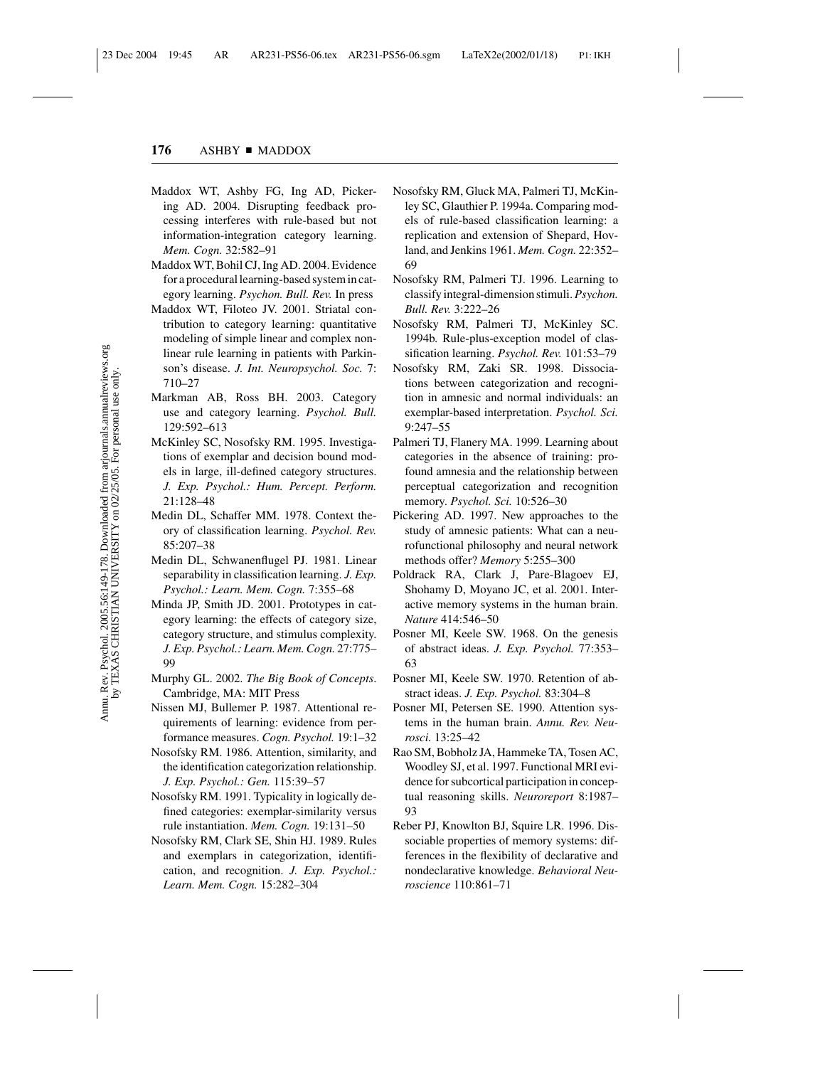- Maddox WT, Ashby FG, Ing AD, Pickering AD. 2004. Disrupting feedback processing interferes with rule-based but not information-integration category learning. *Mem. Cogn.* 32:582–91
- Maddox WT, Bohil CJ, Ing AD. 2004. Evidence for a procedural learning-based system in category learning. *Psychon. Bull. Rev.* In press
- Maddox WT, Filoteo JV. 2001. Striatal contribution to category learning: quantitative modeling of simple linear and complex nonlinear rule learning in patients with Parkinson's disease. *J. Int. Neuropsychol. Soc.* 7: 710–27
- Markman AB, Ross BH. 2003. Category use and category learning. *Psychol. Bull.* 129:592–613
- McKinley SC, Nosofsky RM. 1995. Investigations of exemplar and decision bound models in large, ill-defined category structures. *J. Exp. Psychol.: Hum. Percept. Perform.* 21:128–48
- Medin DL, Schaffer MM. 1978. Context theory of classification learning. *Psychol. Rev.* 85:207–38
- Medin DL, Schwanenflugel PJ. 1981. Linear separability in classification learning. *J. Exp. Psychol.: Learn. Mem. Cogn.* 7:355–68
- Minda JP, Smith JD. 2001. Prototypes in category learning: the effects of category size, category structure, and stimulus complexity. *J.Exp. Psychol.: Learn. Mem. Cogn.* 27:775– 99
- Murphy GL. 2002. *The Big Book of Concepts*. Cambridge, MA: MIT Press
- Nissen MJ, Bullemer P. 1987. Attentional requirements of learning: evidence from performance measures. *Cogn. Psychol.* 19:1–32
- Nosofsky RM. 1986. Attention, similarity, and the identification categorization relationship. *J. Exp. Psychol.: Gen.* 115:39–57
- Nosofsky RM. 1991. Typicality in logically defined categories: exemplar-similarity versus rule instantiation. *Mem. Cogn.* 19:131–50
- Nosofsky RM, Clark SE, Shin HJ. 1989. Rules and exemplars in categorization, identification, and recognition. *J. Exp. Psychol.: Learn. Mem. Cogn.* 15:282–304
- Nosofsky RM, Gluck MA, Palmeri TJ, McKinley SC, Glauthier P. 1994a. Comparing models of rule-based classification learning: a replication and extension of Shepard, Hovland, and Jenkins 1961. *Mem. Cogn.* 22:352– 69
- Nosofsky RM, Palmeri TJ. 1996. Learning to classify integral-dimension stimuli.*Psychon. Bull. Rev.* 3:222–26
- Nosofsky RM, Palmeri TJ, McKinley SC. 1994b. Rule-plus-exception model of classification learning. *Psychol. Rev.* 101:53–79
- Nosofsky RM, Zaki SR. 1998. Dissociations between categorization and recognition in amnesic and normal individuals: an exemplar-based interpretation. *Psychol. Sci.* 9:247–55
- Palmeri TJ, Flanery MA. 1999. Learning about categories in the absence of training: profound amnesia and the relationship between perceptual categorization and recognition memory. *Psychol. Sci.* 10:526–30
- Pickering AD. 1997. New approaches to the study of amnesic patients: What can a neurofunctional philosophy and neural network methods offer? *Memory* 5:255–300
- Poldrack RA, Clark J, Pare-Blagoev EJ, Shohamy D, Moyano JC, et al. 2001. Interactive memory systems in the human brain. *Nature* 414:546–50
- Posner MI, Keele SW. 1968. On the genesis of abstract ideas. *J. Exp. Psychol.* 77:353– 63
- Posner MI, Keele SW. 1970. Retention of abstract ideas. *J. Exp. Psychol.* 83:304–8
- Posner MI, Petersen SE. 1990. Attention systems in the human brain. *Annu. Rev. Neurosci.* 13:25–42
- Rao SM, Bobholz JA, Hammeke TA, Tosen AC, Woodley SJ, et al. 1997. Functional MRI evidence for subcortical participation in conceptual reasoning skills. *Neuroreport* 8:1987– 93
- Reber PJ, Knowlton BJ, Squire LR. 1996. Dissociable properties of memory systems: differences in the flexibility of declarative and nondeclarative knowledge. *Behavioral Neuroscience* 110:861–71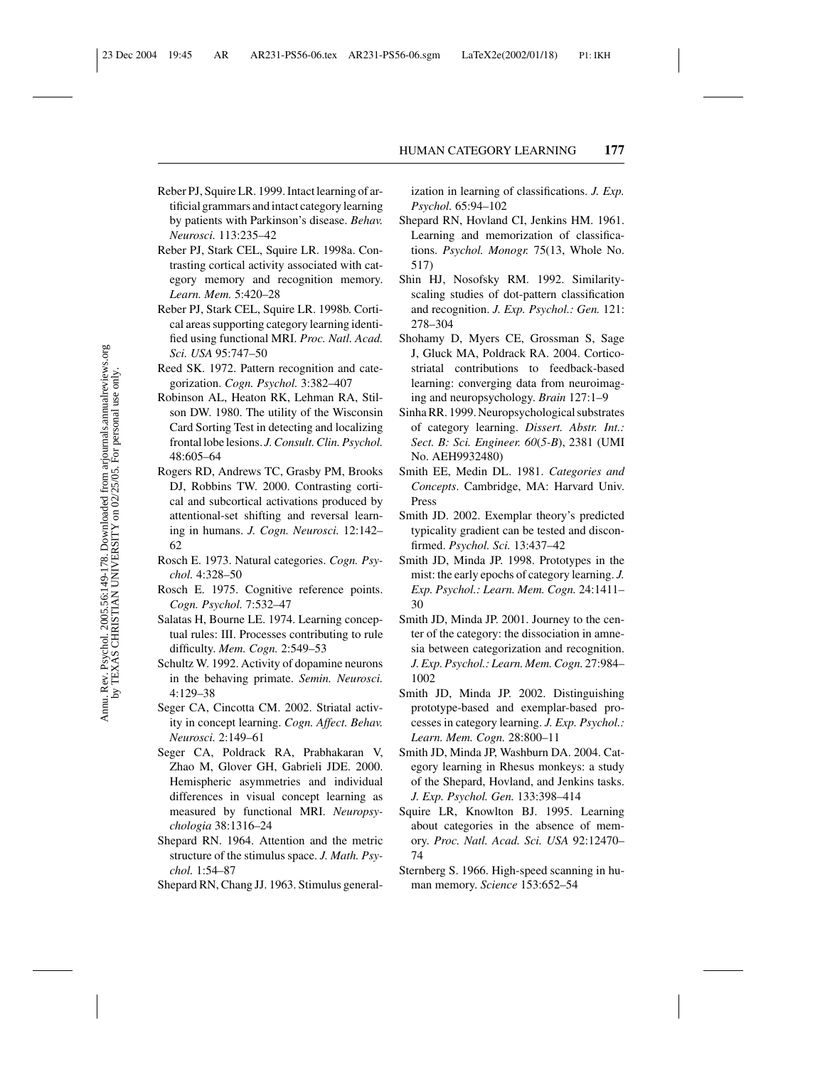- Reber PJ, Squire LR. 1999. Intact learning of artificial grammars and intact category learning by patients with Parkinson's disease. *Behav. Neurosci.* 113:235–42
- Reber PJ, Stark CEL, Squire LR. 1998a. Contrasting cortical activity associated with category memory and recognition memory. *Learn. Mem.* 5:420–28
- Reber PJ, Stark CEL, Squire LR. 1998b. Cortical areas supporting category learning identified using functional MRI. *Proc. Natl. Acad. Sci. USA* 95:747–50
- Reed SK. 1972. Pattern recognition and categorization. *Cogn. Psychol.* 3:382–407
- Robinson AL, Heaton RK, Lehman RA, Stilson DW. 1980. The utility of the Wisconsin Card Sorting Test in detecting and localizing frontal lobe lesions. *J.Consult. Clin. Psychol.* 48:605–64
- Rogers RD, Andrews TC, Grasby PM, Brooks DJ, Robbins TW. 2000. Contrasting cortical and subcortical activations produced by attentional-set shifting and reversal learning in humans. *J. Cogn. Neurosci.* 12:142– 62
- Rosch E. 1973. Natural categories. *Cogn. Psychol.* 4:328–50
- Rosch E. 1975. Cognitive reference points. *Cogn. Psychol.* 7:532–47
- Salatas H, Bourne LE. 1974. Learning conceptual rules: III. Processes contributing to rule difficulty. *Mem. Cogn.* 2:549–53
- Schultz W. 1992. Activity of dopamine neurons in the behaving primate. *Semin. Neurosci.* 4:129–38
- Seger CA, Cincotta CM. 2002. Striatal activity in concept learning. *Cogn. Affect. Behav. Neurosci.* 2:149–61
- Seger CA, Poldrack RA, Prabhakaran V, Zhao M, Glover GH, Gabrieli JDE. 2000. Hemispheric asymmetries and individual differences in visual concept learning as measured by functional MRI. *Neuropsychologia* 38:1316–24
- Shepard RN. 1964. Attention and the metric structure of the stimulus space. *J. Math. Psychol.* 1:54–87
- Shepard RN, Chang JJ. 1963. Stimulus general-

ization in learning of classifications. *J. Exp. Psychol.* 65:94–102

- Shepard RN, Hovland CI, Jenkins HM. 1961. Learning and memorization of classifications. *Psychol. Monogr.* 75(13, Whole No. 517)
- Shin HJ, Nosofsky RM. 1992. Similarityscaling studies of dot-pattern classification and recognition. *J. Exp. Psychol.: Gen.* 121: 278–304
- Shohamy D, Myers CE, Grossman S, Sage J, Gluck MA, Poldrack RA. 2004. Corticostriatal contributions to feedback-based learning: converging data from neuroimaging and neuropsychology. *Brain* 127:1–9
- Sinha RR. 1999. Neuropsychological substrates of category learning. *Dissert. Abstr. Int.: Sect. B: Sci. Engineer. 60*(*5-B*), 2381 (UMI No. AEH9932480)
- Smith EE, Medin DL. 1981. *Categories and Concepts*. Cambridge, MA: Harvard Univ. Press
- Smith JD. 2002. Exemplar theory's predicted typicality gradient can be tested and disconfirmed. *Psychol. Sci.* 13:437–42
- Smith JD, Minda JP. 1998. Prototypes in the mist: the early epochs of category learning. *J. Exp. Psychol.: Learn. Mem. Cogn.* 24:1411– 30
- Smith JD, Minda JP. 2001. Journey to the center of the category: the dissociation in amnesia between categorization and recognition. *J.Exp. Psychol.: Learn. Mem. Cogn.* 27:984– 1002
- Smith JD, Minda JP. 2002. Distinguishing prototype-based and exemplar-based processes in category learning. *J. Exp. Psychol.: Learn. Mem. Cogn.* 28:800–11
- Smith JD, Minda JP, Washburn DA. 2004. Category learning in Rhesus monkeys: a study of the Shepard, Hovland, and Jenkins tasks. *J. Exp. Psychol. Gen.* 133:398–414
- Squire LR, Knowlton BJ. 1995. Learning about categories in the absence of memory. *Proc. Natl. Acad. Sci. USA* 92:12470– 74
- Sternberg S. 1966. High-speed scanning in human memory. *Science* 153:652–54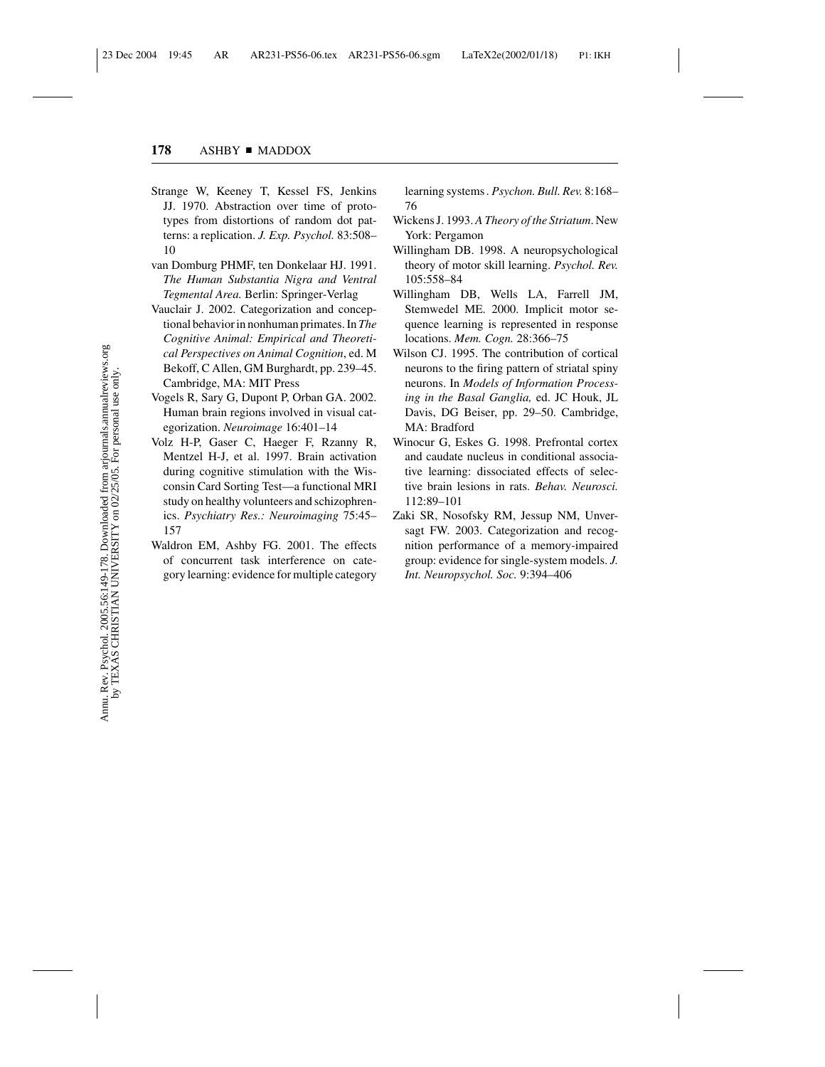- Strange W, Keeney T, Kessel FS, Jenkins JJ. 1970. Abstraction over time of prototypes from distortions of random dot patterns: a replication. *J. Exp. Psychol.* 83:508– 10
- van Domburg PHMF, ten Donkelaar HJ. 1991. *The Human Substantia Nigra and Ventral Tegmental Area.* Berlin: Springer-Verlag
- Vauclair J. 2002. Categorization and conceptional behavior in nonhuman primates. In *The Cognitive Animal: Empirical and Theoretical Perspectives on Animal Cognition*, ed. M Bekoff, C Allen, GM Burghardt, pp. 239–45. Cambridge, MA: MIT Press
- Vogels R, Sary G, Dupont P, Orban GA. 2002. Human brain regions involved in visual categorization. *Neuroimage* 16:401–14
- Volz H-P, Gaser C, Haeger F, Rzanny R, Mentzel H-J, et al. 1997. Brain activation during cognitive stimulation with the Wisconsin Card Sorting Test—a functional MRI study on healthy volunteers and schizophrenics. *Psychiatry Res.: Neuroimaging* 75:45– 157
- Waldron EM, Ashby FG. 2001. The effects of concurrent task interference on category learning: evidence for multiple category

learning systems*. Psychon. Bull. Rev.* 8:168– 76

- Wickens J. 1993. *A Theory of the Striatum*. New York: Pergamon
- Willingham DB. 1998. A neuropsychological theory of motor skill learning. *Psychol. Rev.* 105:558–84
- Willingham DB, Wells LA, Farrell JM, Stemwedel ME. 2000. Implicit motor sequence learning is represented in response locations. *Mem. Cogn.* 28:366–75
- Wilson CJ. 1995. The contribution of cortical neurons to the firing pattern of striatal spiny neurons. In *Models of Information Processing in the Basal Ganglia,* ed. JC Houk, JL Davis, DG Beiser, pp. 29–50. Cambridge, MA: Bradford
- Winocur G, Eskes G. 1998. Prefrontal cortex and caudate nucleus in conditional associative learning: dissociated effects of selective brain lesions in rats. *Behav. Neurosci.* 112:89–101
- Zaki SR, Nosofsky RM, Jessup NM, Unversagt FW. 2003. Categorization and recognition performance of a memory-impaired group: evidence for single-system models. *J. Int. Neuropsychol. Soc.* 9:394–406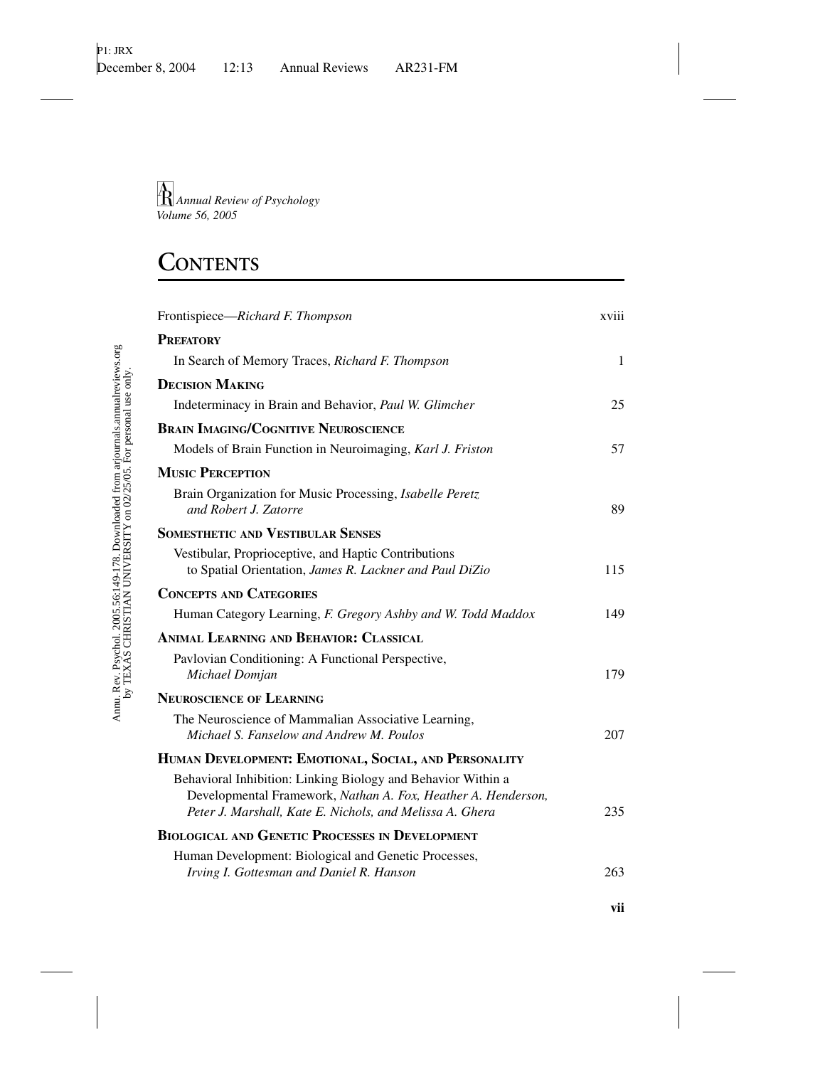# **CONTENTS**

| Frontispiece-Richard F. Thompson                                                                                                                                                          | xviii        |
|-------------------------------------------------------------------------------------------------------------------------------------------------------------------------------------------|--------------|
| <b>PREFATORY</b>                                                                                                                                                                          |              |
| In Search of Memory Traces, Richard F. Thompson                                                                                                                                           | $\mathbf{1}$ |
| <b>DECISION MAKING</b>                                                                                                                                                                    |              |
| Indeterminacy in Brain and Behavior, Paul W. Glimcher                                                                                                                                     | 25           |
| <b>BRAIN IMAGING/COGNITIVE NEUROSCIENCE</b>                                                                                                                                               |              |
| Models of Brain Function in Neuroimaging, Karl J. Friston                                                                                                                                 | 57           |
| <b>MUSIC PERCEPTION</b>                                                                                                                                                                   |              |
| Brain Organization for Music Processing, Isabelle Peretz<br>and Robert J. Zatorre                                                                                                         | 89           |
| <b>SOMESTHETIC AND VESTIBULAR SENSES</b>                                                                                                                                                  |              |
| Vestibular, Proprioceptive, and Haptic Contributions<br>to Spatial Orientation, James R. Lackner and Paul DiZio                                                                           | 115          |
| <b>CONCEPTS AND CATEGORIES</b>                                                                                                                                                            |              |
| Human Category Learning, F. Gregory Ashby and W. Todd Maddox                                                                                                                              | 149          |
| <b>ANIMAL LEARNING AND BEHAVIOR: CLASSICAL</b>                                                                                                                                            |              |
| Pavlovian Conditioning: A Functional Perspective,<br>Michael Domjan                                                                                                                       | 179          |
| <b>NEUROSCIENCE OF LEARNING</b>                                                                                                                                                           |              |
| The Neuroscience of Mammalian Associative Learning,<br>Michael S. Fanselow and Andrew M. Poulos                                                                                           | 207          |
| HUMAN DEVELOPMENT: EMOTIONAL, SOCIAL, AND PERSONALITY                                                                                                                                     |              |
| Behavioral Inhibition: Linking Biology and Behavior Within a<br>Developmental Framework, Nathan A. Fox, Heather A. Henderson,<br>Peter J. Marshall, Kate E. Nichols, and Melissa A. Ghera | 235          |
| <b>BIOLOGICAL AND GENETIC PROCESSES IN DEVELOPMENT</b>                                                                                                                                    |              |
| Human Development: Biological and Genetic Processes,<br>Irving I. Gottesman and Daniel R. Hanson                                                                                          | 263          |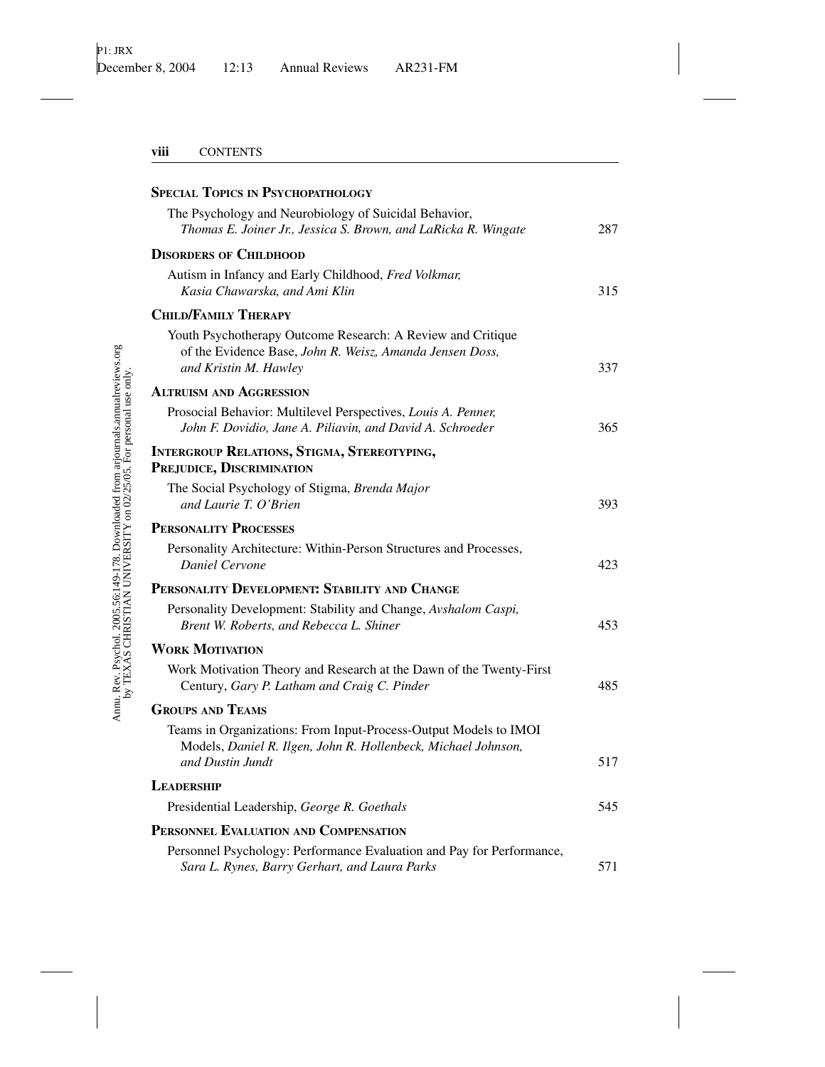| <b>SPECIAL TOPICS IN PSYCHOPATHOLOGY</b>                                                                                                              |     |
|-------------------------------------------------------------------------------------------------------------------------------------------------------|-----|
| The Psychology and Neurobiology of Suicidal Behavior,<br>Thomas E. Joiner Jr., Jessica S. Brown, and LaRicka R. Wingate                               | 287 |
| <b>DISORDERS OF CHILDHOOD</b>                                                                                                                         |     |
| Autism in Infancy and Early Childhood, Fred Volkmar,<br>Kasia Chawarska, and Ami Klin                                                                 | 315 |
| <b>CHILD/FAMILY THERAPY</b>                                                                                                                           |     |
| Youth Psychotherapy Outcome Research: A Review and Critique<br>of the Evidence Base, John R. Weisz, Amanda Jensen Doss,<br>and Kristin M. Hawley      | 337 |
| <b>ALTRUISM AND AGGRESSION</b>                                                                                                                        |     |
| Prosocial Behavior: Multilevel Perspectives, Louis A. Penner,<br>John F. Dovidio, Jane A. Piliavin, and David A. Schroeder                            | 365 |
| <b>INTERGROUP RELATIONS, STIGMA, STEREOTYPING,</b><br>PREJUDICE, DISCRIMINATION                                                                       |     |
| The Social Psychology of Stigma, Brenda Major<br>and Laurie T. O'Brien                                                                                | 393 |
| <b>PERSONALITY PROCESSES</b>                                                                                                                          |     |
| Personality Architecture: Within-Person Structures and Processes,<br><b>Daniel Cervone</b>                                                            | 423 |
| PERSONALITY DEVELOPMENT: STABILITY AND CHANGE                                                                                                         |     |
| Personality Development: Stability and Change, Avshalom Caspi,<br>Brent W. Roberts, and Rebecca L. Shiner                                             | 453 |
| <b>WORK MOTIVATION</b>                                                                                                                                |     |
| Work Motivation Theory and Research at the Dawn of the Twenty-First<br>Century, Gary P. Latham and Craig C. Pinder                                    | 485 |
| <b>GROUPS AND TEAMS</b>                                                                                                                               |     |
| Teams in Organizations: From Input-Process-Output Models to IMOI<br>Models, Daniel R. Ilgen, John R. Hollenbeck, Michael Johnson,<br>and Dustin Jundt | 517 |
| <b>LEADERSHIP</b>                                                                                                                                     |     |
| Presidential Leadership, George R. Goethals                                                                                                           | 545 |
| PERSONNEL EVALUATION AND COMPENSATION                                                                                                                 |     |
| Personnel Psychology: Performance Evaluation and Pay for Performance,<br>Sara L. Rynes, Barry Gerhart, and Laura Parks                                | 571 |